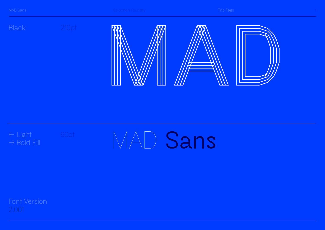



# MAD **Sans**

Font Version 2.001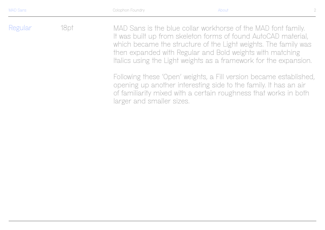MAD Sans is the blue collar workhorse of the MAD font family. It was built up from skeleton forms of found AutoCAD material, which became the structure of the Light weights. The family was then expanded with Regular and Bold weights with matching Italics using the Light weights as a framework for the expansion. Regular 18pt

> Following these 'Open' weights, a Fill version became established, opening up another interesting side to the family. It has an air of familiarity mixed with a certain roughness that works in both larger and smaller sizes.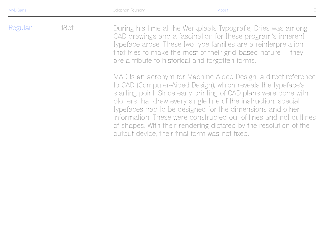During his time at the Werkplaats Typografie, Dries was among CAD drawings and a fascination for these program's inherent typeface arose. These two type families are a reinterpretation that tries to make the most of their grid-based nature — they are a tribute to historical and forgotten forms. Regular 18pt

> MAD is an acronym for Machine Aided Design, a direct reference to CAD (Computer-Aided Design), which reveals the typeface's starting point. Since early printing of CAD plans were done with plotters that drew every single line of the instruction, special typefaces had to be designed for the dimensions and other information. These were constructed out of lines and not outlines of shapes. With their rendering dictated by the resolution of the output device, their final form was not fixed.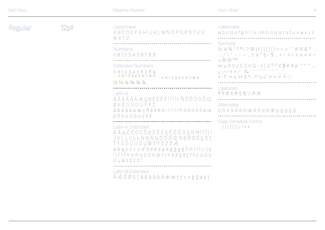| <b>MAD Sans</b> |  |  |
|-----------------|--|--|
|                 |  |  |

Regular

|      | Colophon Foundry                                                                                                                                                                                                        | <b>Glyph Sheet</b><br>$\overline{4}$                                                                                                                                                                                                                                                                                                                                                                                                                                                                                                                                                                                                          |  |
|------|-------------------------------------------------------------------------------------------------------------------------------------------------------------------------------------------------------------------------|-----------------------------------------------------------------------------------------------------------------------------------------------------------------------------------------------------------------------------------------------------------------------------------------------------------------------------------------------------------------------------------------------------------------------------------------------------------------------------------------------------------------------------------------------------------------------------------------------------------------------------------------------|--|
| 12pt | Uppercase<br>ABCDEFGHIJKLMNOPQRSTUV<br>WXYZ                                                                                                                                                                             | Lowercase<br>abcdefghijklmnopqrstuvwxyz                                                                                                                                                                                                                                                                                                                                                                                                                                                                                                                                                                                                       |  |
|      | <b>Numbers</b><br>00123456789                                                                                                                                                                                           | <b>Symbols</b><br>$\frac{1}{2}$ $\frac{1}{4}$ $\frac{3}{4}$ $\frac{1}{2}$ $\frac{3}{4}$ $\frac{1}{2}$ $\frac{3}{4}$ $\frac{1}{1}$ $\frac{1}{1}$ $\frac{1}{1}$ $\frac{1}{2}$ $\frac{1}{5}$ $\frac{1}{1}$ $\frac{1}{2}$ $\frac{1}{2}$ $\frac{1}{2}$ $\frac{1}{2}$ $\frac{1}{2}$ $\frac{1}{2}$ $\frac{1}{2}$ $\frac{1}{2}$ $\frac{1}{2}$<br>$\frac{1}{2}$ ; ; / \ ^ ---_ + + ° \ ^ + \ \ ^ + - x + ± < > $\neq$ ~<br>$\approx$ ® © TM<br>$\infty \mu \partial \Diamond \sqrt{\Sigma} \prod \pi \Omega - f \int \Delta^{d} \circ f \oint \in \mathcal{F} \mathcal{L}$<br>。<br>←↑→↓⇔↑下フソ∠ @ @ @ @ @ Q<br>Ligatures<br>ff fi fi fi fi fi fi l ct st |  |
|      | <b>Extended Numbers</b><br>00123456789<br>H00123456789H00123456789<br>$\frac{1}{3}$ $\frac{2}{3}$ $\frac{1}{6}$ $\frac{3}{8}$ $\frac{5}{8}$ $\frac{7}{8}$                                                               |                                                                                                                                                                                                                                                                                                                                                                                                                                                                                                                                                                                                                                               |  |
|      | Latin-A<br>ÁÂ À Ä Å Å Æ Ç ĐÉ Ê È Ë Í Î Ì Ï Ł Ñ Ó Ô Ò Ö Õ Œ                                                                                                                                                              |                                                                                                                                                                                                                                                                                                                                                                                                                                                                                                                                                                                                                                               |  |
|      | ØÞŠÚÛÙÜÝŸŽ<br>áâàãäåæçðéèêëiíîìïłñóòôöõøœ<br>$b$ $\beta$ $\delta$ $\dot{\alpha}$ $\dot{\alpha}$ $\ddot{\alpha}$ $\ddot{\alpha}$ $\ddot{\gamma}$ $\gamma$ $\dot{\gamma}$                                                 | Alternates<br>a à á â ã ä å æ ā ă ą ă æ g ĝ ġ ģ ǧ                                                                                                                                                                                                                                                                                                                                                                                                                                                                                                                                                                                             |  |
|      | Latin-A Extended<br>Ā Ă Ą Ć Ĉ Ċ Č Ď Đ Ē Ě Ė Ę Ě Ĝ Ğ Ġ Ģ Ĥ Ħ Ĩ Ī Ĭ Į İ<br>ĴĶĹĻĽĿŁŃŅŇŊŌŎŐŒŔŖŘŚŜŞŠŢ<br>ŤŦŨŎŬŮŰŲŴŶŸŹŻŽÆ<br>ā ă ą ć ĉ ċ č ď đ ē ĕ ė ę ě ĝ ğ ġ ģ ĥ ħ ĩ ī ĭ į ı ĵ ķ<br>Íļľŀłńņňŋōŏőœŕŗřśŝşšţť‡ũūŭů<br>ũụŵŷźżží | <b>Case Sensitive Forms</b><br>$H\{$ } $[$ $]$ $()$ $\geq$ $\frac{1}{2}$ $\ll$ $\gg$                                                                                                                                                                                                                                                                                                                                                                                                                                                                                                                                                          |  |
|      | Latin-B Extended<br>ĂÉČŐŞŢăâăâấåæœff f f ğğøş ț                                                                                                                                                                         |                                                                                                                                                                                                                                                                                                                                                                                                                                                                                                                                                                                                                                               |  |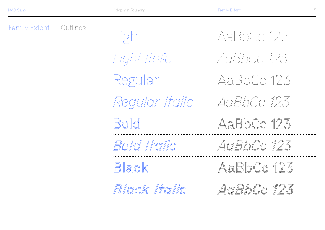Family Extent OutlinesAaBbCc 123 *AaBbCc 123* AaBbCc 123 *AaBbCc 123 Regular Italic* **AaBbCc 123** AaBbCc 123 *AaBbCc 123 AaBbCc 123* Light *Light Italic* Regular **Bold** Black *Bold Italic Black Italic*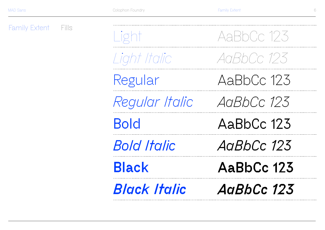Family Extent Fills

AaBbCc 123 *AaBbCc 123* AaBbCc 123 *AaBbCc 123* **AaBbCc 123** AaBbCc 123 *AaBbCc 123 AaBbCc 123* Light *Light Italic* Regular *Regular Italic* **Bold** Black *Bold Italic Black Italic*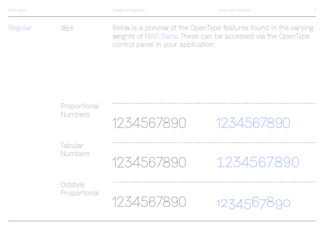18pt

Regular 18pt Below is a preview of the OpenType features found in the varying weights of MAD Sans. These can be accessed via the OpenType control panel in your application.

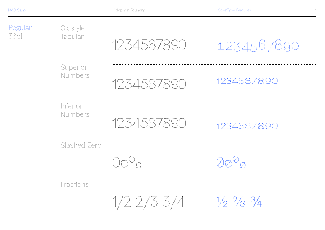| Regular<br>Oldstyle<br>36pt<br>Tabular<br>Superior<br><b>Numbers</b><br><b>Inferior</b><br><b>Numbers</b><br>Slashed Zero<br><b>Fractions</b> |            | 1234567890        | 1234567890        |
|-----------------------------------------------------------------------------------------------------------------------------------------------|------------|-------------------|-------------------|
|                                                                                                                                               | 1234567890 | 1234567890        |                   |
|                                                                                                                                               | 1234567890 | 1234567890        |                   |
|                                                                                                                                               |            | $70^0$ n          | $00^{\circ}$      |
|                                                                                                                                               |            | $1/2$ $2/3$ $3/4$ | $1/2$ $2/3$ $3/4$ |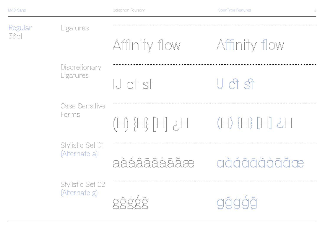Regular 36pt Case Sensitive Forms Stylistic Set 01 (Alternate a) Stylistic Set 02 (Alternate g) (H) {H} [H] ¿H aàáâãäåāăæ gĝġģǧ **Discretionary** Ligatures IJ ct st IJ ct st Ligatures Affinity flow Affinity flow (H) {H} [H] ¿H aàáâãäåāăæ âģå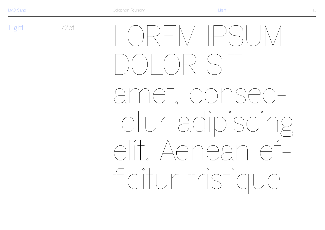Light

72pt  $\langle \rangle$   $\rangle$   $\rightarrow$   $\sim$   $\setminus$   $\setminus$   $\setminus$   $\setminus$   $\setminus$ amet, consectetur adipiscing elit. Aenean ef-Foitur tristique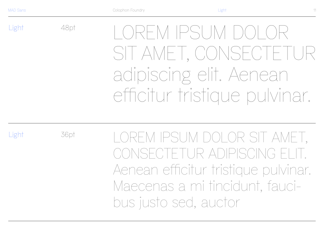Light

Light

48pt LOREM IPSUM DOLOR SIT AMET, CONSECTETUR adipiscing elit. Aenean efficitur tristique pulvinar.

36pt

LOREM IPSUM DOLOR SIT AMET, CONSECTETUR ADIPISCING EI Aenean efficitur tristique pulvinar. Maecenas a mi tincidunt, faucibus justo sed, auctor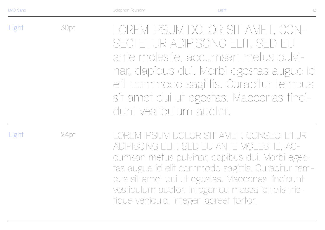Light 30pt LOREM IPSUM DOLOR SIT AMET, CON-SECTETUR ADIPISCING ELIT. SED EU ante molestie, accumsan metus pulvinar, dapibus dui. Morbi egestas augue id elit commodo sagittis. Curabitur tempus sit amet dui ut egestas. Maecenas tincidunt vestibulum auctor.

Light

24pt

LOREM IPSUM DOLOR SIT AMET, CONSECTETUR ADIPISCING ELIT. SED EU ANTE MOLESTIE, ACcumsan metus pulvinar, dapibus dui. Morbi egestas augue id elit commodo sagittis. Curabitur tempus sit amet dui ut egestas. Maecenas tincidunt vestibulum auctor. Integer eu massa id felis tristique vehicula. Integer laoreet tortor.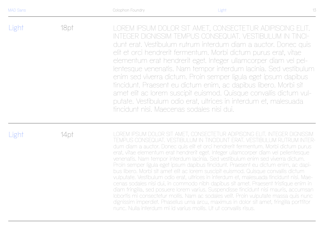Light 18pt LOREM IPSUM DOLOR SIT AMET, CONSECTETUR ADIPISCING ELIT. INTEGER DIGNISSIM TEMPUS CONSEQUAT. VESTIBULUM IN TINCIdunt erat. Vestibulum rutrum interdum diam a auctor. Donec quis elit et orci hendrerit fermentum. Morbi dictum purus erat, vitae elementum erat hendrerit eget. Integer ullamcorper diam vel pellentesque venenatis. Nam tempor interdum lacinia. Sed vestibulum enim sed viverra dictum. Proin semper ligula eget ipsum dapibus tincidunt. Praesent eu dictum enim, ac dapibus libero. Morbi sit amet elit ac lorem suscipit euismod. Quisque convallis dictum vulputate. Vestibulum odio erat, ultrices in interdum et, malesuada tincidunt nisi. Maecenas sodales nisi dui.

Light

14pt LOREM IPSUM DOLOR SIT AMET, CONSECTETUR ADIPISCING ELIT. INTEGER DIGNISSIM TEMPUS CONSEQUAT. VESTIBULUM IN TINCIDUNT ERAT. VESTIBULUM RUTRUM INTERdum diam a auctor. Donec quis elit et orci hendrerit fermentum. Morbi dictum purus erat, vitae elementum erat hendrerit eget. Integer ullamcorper diam vel pellentesque venenatis. Nam tempor interdum lacinia. Sed vestibulum enim sed viverra dictum. Proin semper ligula eget ipsum dapibus tincidunt. Praesent eu dictum enim, ac dapibus libero. Morbi sit amet elit ac lorem suscipit euismod. Quisque convallis dictum vulputate. Vestibulum odio erat, ultrices in interdum et, malesuada tincidunt nisi. Maecenas sodales nisi dui, in commodo nibh dapibus sit amet. Praesent tristique enim in diam fringilla, sed posuere lorem varius. Suspendisse tincidunt nisi mauris, accumsan lobortis mi consectetur mollis. Nam ac sodales velit. Proin vulputate massa quis nunc dignissim imperdiet. Phasellus urna arcu, maximus in dolor sit amet, fringilla porttitor nunc. Nulla interdum mi id varius mollis. Ut ut convallis risus.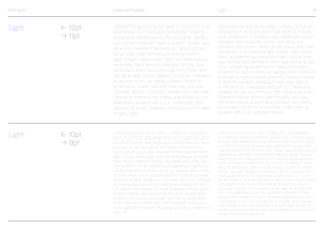Light

| ht | $\leftarrow$ 12pt<br>$\rightarrow$ 11pt | LOREM IPSUM DOLOR SIT AMET, CONSECTETUR<br>ADIPISCING FLIT. INTEGER DIGNISSIM TEMPUS<br>consequat. Vestibulum in tincidunt erat. Vestibu-<br>lum rutrum interdum diam a auctor. Donec quis<br>elit et orci hendrerit fermentum. Morbi dictum |
|----|-----------------------------------------|----------------------------------------------------------------------------------------------------------------------------------------------------------------------------------------------------------------------------------------------|
|    |                                         | puris exet, with a place anture and bondrovit                                                                                                                                                                                                |

**GNISSIM TEMPUS** consequat. Vestibulum in tincidunt erat. Vestibu l auctor. Donec quis um. Morbi dictum purus erat, vitae elementum erat hendrerit eget. Integer ullamcorper diam vel pellentesque venenatis. Nam tempor interdum lacinia. Sed vestibulum enim sed viverra dictum. Proin sem per ligula eget ipsum dapibus tincidunt. Praesent eu dictum enim, ac dapibus libero. Morbi sit amet elit ac lorem suscipit euismod. Quisque convallis dictum vulputate. Vestibulum odio erat, ultrices in interdum et, malesuada tincidunt nisi. Maecenas sodales nisi dui, in commodo nibh dapibus sit amet. Praesent tristique enim in diam fringilla, sed.

LOREM IPSUM DOLOR SIT AMET, CONSECTETUR AD - IPISCING ELIT. INTEGER DIGNISSIM TEMPUS CONSEquat. Vestibulum in tincidunt erat. Vestibulum rutrum interdum diam a auctor. Donec quis elit et orci hendrerit fermentum. Morbi dictum purus erat, vitae elementum erat hendrerit eget. Integer ullamcorper diam vel pellentesque venenatis. Nam tempor inter dum lacinia. Sed vestibulum enim sed viverra dictum. Proin semper ligula eget ipsum dapibus tincidunt. Praesent eu dictum enim, ac dapibus libero. Morbi sit amet elit ac lorem suscipit euismod. Quisque conval lis dictum vulputate. Vestibulum odio erat, ultrices in interdum et, malesuada tincidunt nisi. Maecenas sodales nisi dui, in commodo nibh dapibus sit amet. Praesent tristique enim in diam fringilla, sed posu ere lorem varius. Suspendisse tincidunt nisi mauris, accumsan lobortis mi consectetur mollis. Nam ac sodales velit. Proin vulputate massa

#### Light

 $\leftarrow 10$ pt  $\rightarrow$  9pt

LOREM IPSUM DOLOR SIT AMET, CONSECTETUR ADIPISC - ING ELIT. INTEGER DIGNISSIM TEMPUS CONSEQUAT. VESTI bulum in tincidunt erat. Vestibulum rutrum interdum diam a auctor. Donec quis elit et orci hendrerit fermentum. Morbi dictum purus erat, vitae elementum erat hendrerit eget. Integer ullamcorper diam vel pellentesque venenatis. Nam tempor interdum lacinia. Sed vestibulum enim sed viverra dictum. Proin semper ligula eget ipsum dapibus tin cidunt. Praesent eu dictum enim, ac dapibus libero. Morbi sit amet elit ac lorem suscipit euismod. Quisque convallis dictum vulputate. Vestibulum odio erat, ultrices in interdum et, malesuada tincidunt nisi. Maecenas sodales nisi dui, in commodo nibh dapibus sit amet. Praesent tristique enim in diam fringilla, sed posuere lorem varius. Suspendisse tincidunt nisi mauris, accumsan lobortis mi consectetur mollis. Nam ac sodales velit. Proin vulputate massa quis nunc dignissim imperdiet. Phasellus urna arcu, maximus in dolor sit.

LOREM IPSUM DOLOR SIT AMET, CONSECTETUR ADIPISCING ELIT. INTEGER DIGNISSIM TEMPUS CONSEQUAT. VESTIBULUM IN tincidunt erat. Vestibulum rutrum interdum diam a auctor. Donec quis elit et orci hendrerit fermentum. Morbi dictum purus erat, vitae elementum erat hendrerit eget. Integer ullamcorper diam vel pellentesque venenatis. Nam tempor interdum lacinia. Sed ves tibulum enim sed viverra dictum. Proin semper ligula eget ipsum dapibus tincidunt. Praesent eu dictum enim, ac dapibus libero. Morbi sit amet elit ac lorem suscipit euismod. Quisque convallis dictum vulputate. Vestibulum odio erat, ultrices in interdum et, malesuada tincidunt nisi. Maecenas sodales nisi dui, in commo do nibh dapibus sit amet. Praesent tristique enim in diam fringilla, sed posuere lorem varius. Suspendisse tincidunt nisi mauris, accumsan lobortis mi consectetur mollis. Nam ac sodales velit. Proin vulputate massa quis nunc dignissim imperdiet. Phasel lus urna arcu, maximus in dolor sit amet, fringilla porttitor nunc. Nulla interdum mi id varius mollis. Ut ut convallis risus. Aliquam erat volutpat. In nec sem venenatis, vulputate dolor dictum, im perdiet lacus. Morbi ultrices enim non ex facilisis, a lobortis risus lacinia. Aliquam nec blandit est.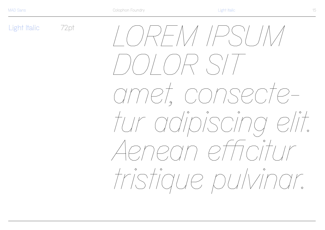Light Italic 72pt  $\bigcap/\bigcap\bigcap\neq\bigcap/\bigcap$ amet, consectetur adipiscing elit. Aenean efficitur tristique pulvinar.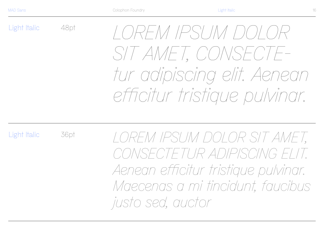Light Italic

48pt

36pt

*LOREM IPSUM DOLOR SIT AMET, CONSECTEtur adipiscing elit. Aenean efficitur tristique pulvinar.* 

Light Italic

*LOREM IPSUM DOLOR SIT AMET, CONSECTETUR ADIPISCING ELIT. Aenean efficitur tristique pulvinar. Maecenas a mi tincidunt, faucibus justo sed, auctor*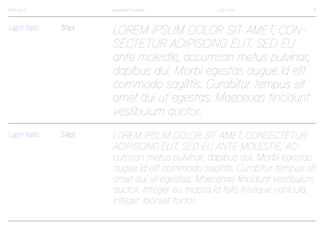Light Italic 30pt *LOREM IPSUM DOLOR SIT AMET, CON-SECTETUR ADIPISCING ELIT. SED EU ante molestie, accumsan metus pulvinar, dapibus dui. Morbi egestas augue id elit commodo sagittis. Curabitur tempus sit amet dui ut egestas. Maecenas tincidunt vestibulum auctor.*

Light Italic

24pt

*LOREM IPSUM DOLOR SIT AMET, CONSECTETUR ADIPISCING ELIT. SED EU ANTE MOLESTIE, ACcumsan metus pulvinar, dapibus dui. Morbi egestas augue id elit commodo sagittis. Curabitur tempus sit amet dui ut egestas. Maecenas tincidunt vestibulum auctor. Integer eu massa id felis tristique vehicula. Integer laoreet tortor.*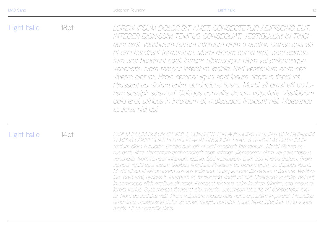Light Italic 18pt *LOREM IPSUM DOLOR SIT AMET, CONSECTETUR ADIPISCING ELIT. INTEGER DIGNISSIM TEMPUS CONSEQUAT. VESTIBULUM IN TINCIdunt erat. Vestibulum rutrum interdum diam a auctor. Donec quis elit et orci hendrerit fermentum. Morbi dictum purus erat, vitae elementum erat hendrerit eget. Integer ullamcorper diam vel pellentesque venenatis. Nam tempor interdum lacinia. Sed vestibulum enim sed viverra dictum. Proin semper ligula eget ipsum dapibus tincidunt. Praesent eu dictum enim, ac dapibus libero. Morbi sit amet elit ac lorem suscipit euismod. Quisque convallis dictum vulputate. Vestibulum odio erat, ultrices in interdum et, malesuada tincidunt nisi. Maecenas sodales nisi dui.* 

#### Light Italic

14pt *LOREM IPSUM DOLOR SIT AMET, CONSECTETUR ADIPISCING ELIT. INTEGER DIGNISSIM TEMPUS CONSEQUAT. VESTIBULUM IN TINCIDUNT ERAT. VESTIBULUM RUTRUM INterdum diam a auctor. Donec quis elit et orci hendrerit fermentum. Morbi dictum purus erat, vitae elementum erat hendrerit eget. Integer ullamcorper diam vel pellentesque venenatis. Nam tempor interdum lacinia. Sed vestibulum enim sed viverra dictum. Proin semper ligula eget ipsum dapibus tincidunt. Praesent eu dictum enim, ac dapibus libero. Morbi sit amet elit ac lorem suscipit euismod. Quisque convallis dictum vulputate. Vestibulum odio erat, ultrices in interdum et, malesuada tincidunt nisi. Maecenas sodales nisi dui, in commodo nibh dapibus sit amet. Praesent tristique enim in diam fringilla, sed posuere lorem varius. Suspendisse tincidunt nisi mauris, accumsan lobortis mi consectetur mollis. Nam ac sodales velit. Proin vulputate massa quis nunc dignissim imperdiet. Phasellus urna arcu, maximus in dolor sit amet, fringilla porttitor nunc. Nulla interdum mi id varius mollis. Ut ut convallis risus.*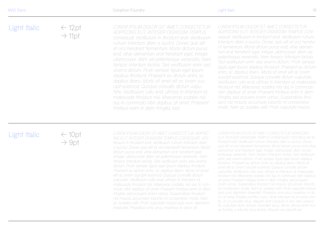| Light Italic | $\leftarrow$ 12pt<br>$\rightarrow$ 11pt | LOREM IPSUM DOLOR SIT AMET, CONSECTETUR<br>ADIPISCING ELIT. INTEGER DIGNISSIM TEMPUS<br>conseguat. Vestibulum in tincidunt erat. Vestibulum<br>rutrum interdum diam a auctor. Donec quis elit | LOREM IPSL<br>ADIPISCING<br>seguat. Vest<br>interdum dic |
|--------------|-----------------------------------------|-----------------------------------------------------------------------------------------------------------------------------------------------------------------------------------------------|----------------------------------------------------------|
|              |                                         | et orci hendrerit fermentum. Morbi dictum purus<br>erat, vitae elementum erat hendrerit eget. Integer                                                                                         | rit fermentui<br>tum erat hei<br>pollontogaur            |

*LOREM IPSUM DOLOR SIT AMET, CONSECTETUR ADIPISCING ELIT. INTEGER DIGNISSIM TEMPUS CONsequat. Vestibulum in tincidunt erat. Vestibulum rutrum interdum diam a auctor. Donec quis elit et orci hendrerit fermentum. Morbi dictum purus erat, vitae elementum erat hendrerit eget. Integer ullamcorper diam vel pellentesque venenatis. Nam tempor interdum lacinia. Sed vestibulum enim sed viverra dictum. Proin semper ligula eget ipsum dapibus tincidunt. Praesent eu dictum enim, ac dapibus libero. Morbi sit amet elit ac lorem suscipit euismod. Quisque convallis dictum vulputate. Vestibulum odio erat, ultrices in interdum et, malesuada tincidunt nisi. Maecenas sodales nisi dui, in commodo nibh dapibus sit amet. Praesent tristique enim in diam fringilla, sed posuere lorem varius. Suspendisse tincidunt nisi mauris, accumsan lobortis mi consectetur mollis. Nam ac sodales velit. Proin vulputate massa*

### Light Italic

 $\leftarrow 10$ pt  $\rightarrow$  9pt

*LOREM IPSUM DOLOR SIT AMET, CONSECTETUR ADIPISC-ING ELIT. INTEGER DIGNISSIM TEMPUS CONSEQUAT. VEStibulum in tincidunt erat. Vestibulum rutrum interdum diam a auctor. Donec quis elit et orci hendrerit fermentum. Morbi dictum purus erat, vitae elementum erat hendrerit eget. Integer ullamcorper diam vel pellentesque venenatis. Nam tempor interdum lacinia. Sed vestibulum enim sed viverra dictum. Proin semper ligula eget ipsum dapibus tincidunt. Praesent eu dictum enim, ac dapibus libero. Morbi sit amet elit ac lorem suscipit euismod. Quisque convallis dictum vulputate. Vestibulum odio erat, ultrices in interdum et, malesuada tincidunt nisi. Maecenas sodales nisi dui, in commodo nibh dapibus sit amet. Praesent tristique enim in diam fringilla, sed posuere lorem varius. Suspendisse tincidunt nisi mauris, accumsan lobortis mi consectetur mollis. Nam ac sodales velit. Proin vulputate massa quis nunc dignissim imperdiet. Phasellus urna arcu, maximus in dolor sit.*

*ullamcorper diam vel pellentesque venenatis. Nam tempor interdum lacinia. Sed vestibulum enim sed viverra dictum. Proin semper ligula eget ipsum dapibus tincidunt. Praesent eu dictum enim, ac dapibus libero. Morbi sit amet elit ac lorem suscipit euismod. Quisque convallis dictum vulputate. Vestibulum odio erat, ultrices in interdum et, malesuada tincidunt nisi. Maecenas sodales nisi dui, in commodo nibh dapibus sit amet. Praesent* 

*tristique enim in diam fringilla, sed.*

*LOREM IPSUM DOLOR SIT AMET, CONSECTETUR ADIPISCING ELIT. INTEGER DIGNISSIM TEMPUS CONSEQUAT. VESTIBULUM IN tincidunt erat. Vestibulum rutrum interdum diam a auctor. Donec quis elit et orci hendrerit fermentum. Morbi dictum purus erat, vitae elementum erat hendrerit eget. Integer ullamcorper diam vel pellentesque venenatis. Nam tempor interdum lacinia. Sed vestibulum enim sed viverra dictum. Proin semper ligula eget ipsum dapibus tincidunt. Praesent eu dictum enim, ac dapibus libero. Morbi sit amet elit ac lorem suscipit euismod. Quisque convallis dictum vulputate. Vestibulum odio erat, ultrices in interdum et, malesuada tincidunt nisi. Maecenas sodales nisi dui, in commodo nibh dapibus sit amet. Praesent tristique enim in diam fringilla, sed posuere lorem varius. Suspendisse tincidunt nisi mauris, accumsan lobortis mi consectetur mollis. Nam ac sodales velit. Proin vulputate massa quis nunc dignissim imperdiet. Phasellus urna arcu, maximus in dolor sit amet, fringilla porttitor nunc. Nulla interdum mi id varius mollis. Ut ut convallis risus. Aliquam erat volutpat. In nec sem venenatis, vulputate dolor dictum, imperdiet lacus. Morbi ultrices enim non ex facilisis, a lobortis risus lacinia. Aliquam nec blandit est.*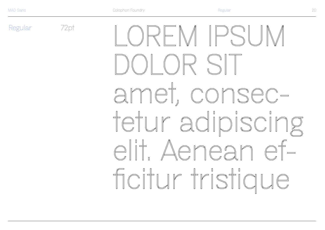Regular

72pt  $\mathbb{R} \models \mathbb{N} \parallel \mathbb{P} \mathbb{S} \parallel \mathbb{R}$ amet, consectetur adipiscing elit Aenean efficitur tristiaue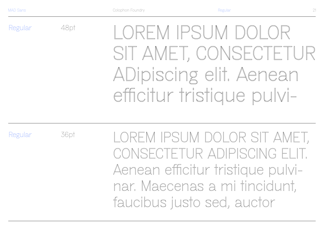Regular

LOREM IPSUM DOLOR SIT AMET, CONSECTETUR ADipiscing elit. Aenean efficitur tristique pulvi-

Regular

36pt

48pt

LOREM IPSUM DOLOR SIT AMET, CONSECTETUR ADIPISCING ELIT. Aenean efficitur tristique pulvinar. Maecenas a mi tincidunt, faucibus justo sed, auctor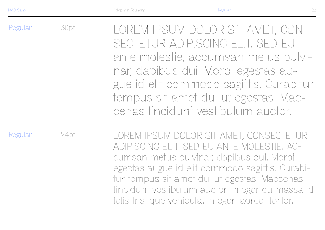| Regular | 30pt | LOREM IPSUM DOLOR SIT AMET, CON-<br>SECTETUR ADIPISCING ELIT. SED EU<br>ante molestie, accumsan metus pulvi-<br>nar, dapibus dui. Morbi egestas au-<br>gue id elit commodo sagittis. Curabitur<br>tempus sit amet dui ut egestas. Mae-<br>cenas tincidunt vestibulum auctor. |
|---------|------|------------------------------------------------------------------------------------------------------------------------------------------------------------------------------------------------------------------------------------------------------------------------------|
| Regular | 24pt | LOREM IPSUM DOLOR SIT AMET, CONSECTETUR<br>ADIPISCING ELIT SED ELI ANTE MOLESTIE.                                                                                                                                                                                            |

ADIPISCING ELIT. SED EU ANTE MOLESTIE, ACcumsan metus pulvinar, dapibus dui. Morbi egestas augue id elit commodo sagittis. Curabitur tempus sit amet dui ut egestas. Maecenas tincidunt vestibulum auctor. Integer eu massa id felis tristique vehicula. Integer laoreet tortor.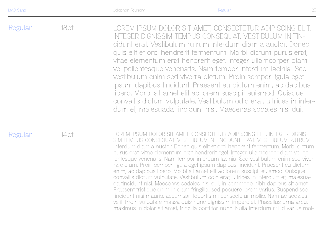Regular 18pt LOREM IPSUM DOLOR SIT AMET, CONSECTETUR ADIPISCING ELIT. INTEGER DIGNISSIM TEMPUS CONSEQUAT. VESTIBULUM IN TINcidunt erat. Vestibulum rutrum interdum diam a auctor. Donec quis elit et orci hendrerit fermentum. Morbi dictum purus erat, vitae elementum erat hendrerit eget. Integer ullamcorper diam vel pellentesque venenatis. Nam tempor interdum lacinia. Sed vestibulum enim sed viverra dictum. Proin semper ligula eget ipsum dapibus tincidunt. Praesent eu dictum enim, ac dapibus libero. Morbi sit amet elit ac lorem suscipit euismod. Quisque convallis dictum vulputate. Vestibulum odio erat, ultrices in interdum et, malesuada tincidunt nisi. Maecenas sodales nisi dui.

Regular

14pt COREM IPSUM DOLOR SIT AMET, CONSECTETUR ADIPISCING ELIT. INTEGER DIGNIS-SIM TEMPUS CONSFOUAT. VESTIBULUM IN TINCIDUNT FRAT. VESTIBULUM RUTRUM interdum diam a auctor. Donec quis elit et orci hendrerit fermentum. Morbi dictum purus erat, vitae elementum erat hendrerit eget. Integer ullamcorper diam vel pellentesque venenatis. Nam tempor interdum lacinia. Sed vestibulum enim sed viverra dictum. Proin semper ligula eget ipsum dapibus tincidunt. Praesent eu dictum enim, ac dapibus libero. Morbi sit amet elit ac lorem suscipit euismod. Quisque convallis dictum vulputate. Vestibulum odio erat, ultrices in interdum et, malesuada tincidunt nisi. Maecenas sodales nisi dui, in commodo nibh dapibus sit amet. Praesent tristique enim in diam fringilla, sed posuere lorem varius. Suspendisse tincidunt nisi mauris, accumsan lobortis mi consectetur mollis. Nam ac sodales velit. Proin vulputate massa quis nunc dignissim imperdiet. Phasellus urna arcu, maximus in dolor sit amet, fringilla porttitor nunc. Nulla interdum mi id varius mol-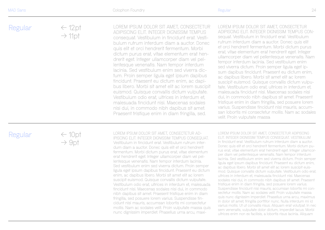| Regular | $\leftarrow$ 12pt<br>$\rightarrow$ 11pt | LOREM IPSUM DOLOR SIT AMET, CONSECTETUR<br>ADIPISCING ELIT. INTEGER DIGNISSIM TEMPUS<br>consequat. Vestibulum in tincidunt erat. Vesti-<br>bulum rutrum interdum diam a auctor. Donec                                                       | LOREM IPSUM DOLOR SIT AMET, CONSECTETUR<br>ADIPISCING ELIT. INTEGER DIGNISSIM TEMPUS CON-<br>sequat. Vestibulum in tincidunt erat. Vestibulum<br>rutrum interdum diam a auctor. Donec quis elit                                                                                                                  |
|---------|-----------------------------------------|---------------------------------------------------------------------------------------------------------------------------------------------------------------------------------------------------------------------------------------------|------------------------------------------------------------------------------------------------------------------------------------------------------------------------------------------------------------------------------------------------------------------------------------------------------------------|
|         |                                         | quis elit et orci hendrerit fermentum. Morbi<br>dictum purus erat, vitae elementum erat hen-<br>drerit eget. Integer ullamcorper diam vel pel-<br>lentesque venenatis. Nam tempor interdum<br>lacinia. Sed vestibulum enim sed viverra dic- | et orci hendrerit fermentum. Morbi dictum purus<br>erat, vitae elementum erat hendrerit eget. Integer<br>ullamcorper diam vel pellentesque venenatis. Nam<br>tempor interdum lacinia. Sed vestibulum enim<br>sed viverra dictum. Proin semper ligula eget ip-<br>sum dapibus fincidunt. Praesent eu dictum enim, |

tum. Proin semper ligula eget ipsum dapibus tincidunt. Praesent eu dictum enim, ac dapi bus libero. Morbi sit amet elit ac lorem suscipit euismod. Quis que convallis dictum vulputate. Vestibulum odio erat, ultrices in interdum et, malesuada tincidunt nisi. Maecenas sodales nisi dui, in commodo nibh dapibus sit amet. Praesent tristi que enim in diam fringilla, sed.

#### Regular

 $\leftarrow$  10pt  $\rightarrow$  9pt

LOREM IPSUM DOLOR SIT AMET, CONSECTETUR AD - IPISCING ELIT. INTEGER DIGNISSIM TEMPUS CONSEQUAT. Vestibulum in tincidunt erat. Vestibulum rutrum inter dum diam a auctor. Donec quis elit et orci hendrerit fermentum. Morbi dictum purus erat, vitae elementum erat hendrerit eget. Integer ullamcorper diam vel pel lentes que venenatis. Nam tempor interdum lacinia. Sed vestibulum enim sed viverra dictum. Proin semper ligula eget ipsum dapibus tincidunt. Praesent eu dictum enim, ac dapibus libero. Morbi sit amet elit ac lorem suscipit euismod. Quis que convallis dictum vulputate. Vestibulum odio erat, ultrices in interdum et, malesuada tincidunt nisi. Maecenas sodales nisi dui, in commodo nibh dapibus sit amet. Praesent tristi que enim in diam fringilla, sed posuere lorem varius. Suspendisse tin cidunt nisi mauris, accumsan lobortis mi consectetur mollis. Nam ac sodales velit. Proin vulputate massa quis nunc dignissim imperdiet. Phasellus urna arcu, maxi -

LOREM IPSUM DOLOR SIT AMET, CONSECTETUR ADIPISCING ELIT. INTEGER DIGNISSIM TEMPUS CONSEQUAT. VESTIBULUM in tincidunt erat. Vestibulum rutrum interdum diam a auctor. Donec quis elit et orci hendrerit fermentum. Morbi dictum pu rus erat, vitae elementum erat hendrerit eget. Integer ullamcor per diam vel pellentes que venenatis. Nam tempor interdum lacinia. Sed vestibulum enim sed viverra dictum. Proin semper ligula eget ipsum dapibus tincidunt. Praesent eu dictum enim, ac dapibus libero. Morbi sit amet elit ac lorem suscipit euis mod. Quis que convallis dictum vulputate. Vestibulum odio erat, ultrices in interdum et, malesuada tincidunt nisi. Maecenas sodales nisi dui, in commodo nibh dapibus sit amet. Praesent tristi que enim in diam fringilla, sed posuere lorem varius. Suspendisse tincidunt nisi mauris, accumsan lobortis mi con sectetur mollis. Nam ac sodales velit. Proin vulputate massa quis nunc dignissim imperdiet. Phasellus urna arcu, maximus in dolor sit amet, fringilla porttitor nunc. Nulla interdum mi id varius mollis. Ut ut convallis risus. Ali quam erat volutpat. In nec sem venenatis, vulputate dolor dictum, imperdiet lacus. Morbi ultrices enim non ex facilisis, a lobortis risus lacinia. Ali quam

ac dapibus libero. Morbi sit amet elit ac lorem suscipit euismod. Quis que convallis dictum vulpu tate. Vestibulum odio erat, ultrices in interdum et, malesuada tincidunt nisi. Maecenas sodales nisi dui, in commodo nibh dapibus sit amet. Praesent tristi que enim in diam fringilla, sed posuere lorem varius. Suspendisse tincidunt nisi mauris, accum san lobortis mi consectetur mollis. Nam ac sodales

velit. Proin vulputate massa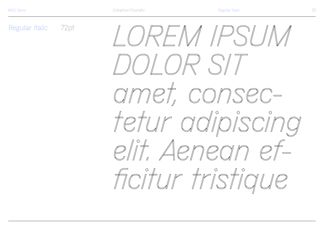Regular Italic 72pt  $\mathbb{N}$   $\mathbb{N}$   $\mathbb{N}$ amet, consectetur adipiscing  $\rho f$ elit Aenegnn Foitur tristique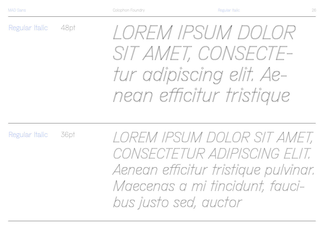Regular Italic 48pt

## *LOREM IPSUM DOLOR SIT AMET, CONSECTEtur adipiscing elit. Aenean efficitur tristique*

Regular Italic 36pt

*LOREM IPSUM DOLOR SIT AMET, CONSECTETUR ADIPISCING ELIT. Aenean efficitur tristique pulvinar. Maecenas a mi tincidunt, faucibus justo sed, auctor*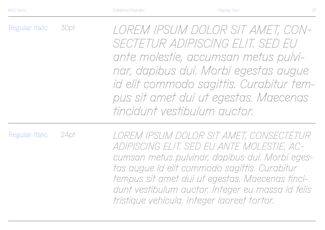Regular Italic 30pt *LOREM IPSUM DOLOR SIT AMET, CON-SECTETUR ADIPISCING ELIT. SED EU ante molestie, accumsan metus pulvinar, dapibus dui. Morbi egestas augue id elit commodo sagittis. Curabitur tempus sit amet dui ut egestas. Maecenas tincidunt vestibulum auctor.*

Regular Italic 24pt *LOREM IPSUM DOLOR SIT AMET, CONSECTETUR ADIPISCING ELIT. SED EU ANTE MOLESTIE, ACcumsan metus pulvinar, dapibus dui. Morbi egestas augue id elit commodo sagittis. Curabitur tempus sit amet dui ut egestas. Maecenas tincidunt vestibulum auctor. Integer eu massa id felis tristique vehicula. Integer laoreet tortor.*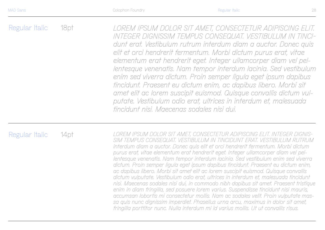Regular Italic 18pt *LOREM IPSUM DOLOR SIT AMET, CONSECTETUR ADIPISCING ELIT. INTEGER DIGNISSIM TEMPUS CONSEQUAT. VESTIBULUM IN TINCIdunt erat. Vestibulum rutrum interdum diam a auctor. Donec quis elit et orci hendrerit fermentum. Morbi dictum purus erat, vitae elementum erat hendrerit eget. Integer ullamcorper diam vel pellentesque venenatis. Nam tempor interdum lacinia. Sed vestibulum enim sed viverra dictum. Proin semper ligula eget ipsum dapibus tincidunt. Praesent eu dictum enim, ac dapibus libero. Morbi sit amet elit ac lorem suscipit euismod. Quisque convallis dictum vulputate. Vestibulum odio erat, ultrices in interdum et, malesuada tincidunt nisi. Maecenas sodales nisi dui.* 

#### Regular Italic

14pt *LOREM IPSUM DOLOR SIT AMET, CONSECTETUR ADIPISCING ELIT. INTEGER DIGNIS-SIM TEMPUS CONSEQUAT. VESTIBULUM IN TINCIDUNT ERAT. VESTIBULUM RUTRUM interdum diam a auctor. Donec quis elit et orci hendrerit fermentum. Morbi dictum purus erat, vitae elementum erat hendrerit eget. Integer ullamcorper diam vel pellentesque venenatis. Nam tempor interdum lacinia. Sed vestibulum enim sed viverra dictum. Proin semper ligula eget ipsum dapibus tincidunt. Praesent eu dictum enim, ac dapibus libero. Morbi sit amet elit ac lorem suscipit euismod. Quisque convallis dictum vulputate. Vestibulum odio erat, ultrices in interdum et, malesuada tincidunt nisi. Maecenas sodales nisi dui, in commodo nibh dapibus sit amet. Praesent tristique enim in diam fringilla, sed posuere lorem varius. Suspendisse tincidunt nisi mauris, accumsan lobortis mi consectetur mollis. Nam ac sodales velit. Proin vulputate massa quis nunc dignissim imperdiet. Phasellus urna arcu, maximus in dolor sit amet, fringilla porttitor nunc. Nulla interdum mi id varius mollis. Ut ut convallis risus.*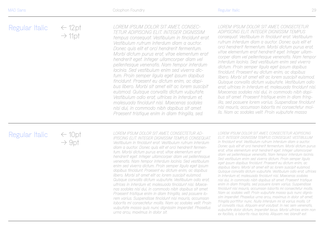Regular Italic  $\epsilon$  12pt  $\rightarrow$  11pt *LOREM IPSUM DOLOR SIT AMET, CONSEC-TETUR ADIPISCING ELIT. INTEGER DIGNISSIM tempus consequat. Vestibulum in tincidunt erat. Vestibulum rutrum interdum diam a auctor. Donec quis elit et orci hendrerit fermentum. Morbi dictum purus erat, vitae elementum erat hendrerit eget. Integer ullamcorper diam vel pellentesque venenatis. Nam tempor interdum lacinia. Sed vestibulum enim sed viverra dictum. Proin semper ligula eget ipsum dapibus tincidunt. Praesent eu dictum enim, ac dapibus libero. Morbi sit amet elit ac lorem suscipit euismod. Quisque convallis dictum vulputate. LOREM IPSUM DOLOR SIT AMET, CONSECTETUR ADIPISCING ELIT. INTEGER DIGNISSIM TEMPUS consequat. Vestibulum in tincidunt erat. Vestibulum rutrum interdum diam a auctor. Donec quis elit et orci hendrerit fermentum. Morbi dictum purus erat, vitae elementum erat hendrerit eget. Integer ullamcorper diam vel pellentesque venenatis. Nam tempor interdum lacinia. Sed vestibulum enim sed viverra dictum. Proin semper ligula eget ipsum dapibus tincidunt. Praesent eu dictum enim, ac dapibus libero. Morbi sit amet elit ac lorem suscipit euismod. Quisque convallis dictum vulputate. Vestibulum odio erat, ultrices in interdum et, malesuada tincidunt nisi. Maecenas sodales nisi dui, in commodo nibh dapi-*

> *Vestibulum odio erat, ultrices in interdum et, malesuada tincidunt nisi. Maecenas sodales nisi dui, in commodo nibh dapibus sit amet. Praesent tristique enim in diam fringilla, sed.*

## Regular Italic

← 10pt  $\rightarrow$  9pt

*LOREM IPSUM DOLOR SIT AMET, CONSECTETUR AD-IPISCING ELIT. INTEGER DIGNISSIM TEMPUS CONSEQUAT. Vestibulum in tincidunt erat. Vestibulum rutrum interdum diam a auctor. Donec quis elit et orci hendrerit fermentum. Morbi dictum purus erat, vitae elementum erat hendrerit eget. Integer ullamcorper diam vel pellentesque venenatis. Nam tempor interdum lacinia. Sed vestibulum enim sed viverra dictum. Proin semper ligula eget ipsum dapibus tincidunt. Praesent eu dictum enim, ac dapibus libero. Morbi sit amet elit ac lorem suscipit euismod. Quisque convallis dictum vulputate. Vestibulum odio erat, ultrices in interdum et, malesuada tincidunt nisi. Maecenas sodales nisi dui, in commodo nibh dapibus sit amet. Praesent tristique enim in diam fringilla, sed posuere lorem varius. Suspendisse tincidunt nisi mauris, accumsan lobortis mi consectetur mollis. Nam ac sodales velit. Proin vulputate massa quis nunc dignissim imperdiet. Phasellus urna arcu, maximus in dolor sit.*

*LOREM IPSUM DOLOR SIT AMET, CONSECTETUR ADIPISCING ELIT. INTEGER DIGNISSIM TEMPUS CONSEQUAT. VESTIBULUM in tincidunt erat. Vestibulum rutrum interdum diam a auctor. Donec quis elit et orci hendrerit fermentum. Morbi dictum purus erat, vitae elementum erat hendrerit eget. Integer ullamcorper diam vel pellentesque venenatis. Nam tempor interdum lacinia. Sed vestibulum enim sed viverra dictum. Proin semper ligula eget ipsum dapibus tincidunt. Praesent eu dictum enim, ac dapibus libero. Morbi sit amet elit ac lorem suscipit euismod. Quisque convallis dictum vulputate. Vestibulum odio erat, ultrices in interdum et, malesuada tincidunt nisi. Maecenas sodales nisi dui, in commodo nibh dapibus sit amet. Praesent tristique enim in diam fringilla, sed posuere lorem varius. Suspendisse tincidunt nisi mauris, accumsan lobortis mi consectetur mollis. Nam ac sodales velit. Proin vulputate massa quis nunc dignissim imperdiet. Phasellus urna arcu, maximus in dolor sit amet, fringilla porttitor nunc. Nulla interdum mi id varius mollis. Ut ut convallis risus. Aliquam erat volutpat. In nec sem venenatis, vulputate dolor dictum, imperdiet lacus. Morbi ultrices enim non ex facilisis, a lobortis risus lacinia. Aliquam nec blandit est.* 

*bus sit amet. Praesent tristique enim in diam fringilla, sed posuere lorem varius. Suspendisse tincidunt nisi mauris, accumsan lobortis mi consectetur mollis. Nam ac sodales velit. Proin vulputate massa*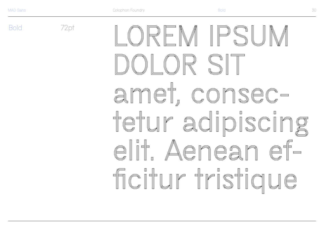**Bold** 

72pt RFM IPSI amet consectefur adipiscing  $\begin{picture}(120,140) \put(0,0){\line(1,0){155}} \put(15,0){\line(1,0){155}} \put(15,0){\line(1,0){155}} \put(15,0){\line(1,0){155}} \put(15,0){\line(1,0){155}} \put(15,0){\line(1,0){155}} \put(15,0){\line(1,0){155}} \put(15,0){\line(1,0){155}} \put(15,0){\line(1,0){155}} \put(15,0){\line(1,0){155}} \put(15,0){\line(1,0){155$ Aenean foitur tristiaue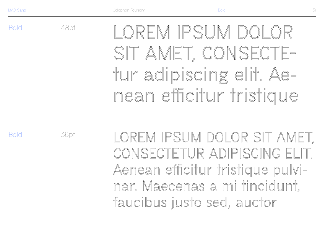Bold

**LOREM IPSUM DOLOR SIT AMET, CONSECTEtur adipiscing elit. Aenean efficitur tristique** 

Bold

36pt

48pt

**LOREM IPSUM DOLOR SIT AMET,** CONSFCTETUR ADIPISCING FLIT Aenean efficitur tristique pulvi**nar. Maecenas a mi tincidunt, faucibus justo sed, auctor**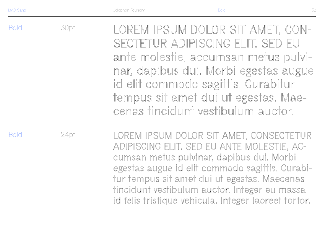| <b>Bold</b> | 30pt | LOREM IPSUM DOLOR SIT AMET, CON-<br>SECTETUR ADIPISCING ELIT. SED EU<br>ante molestie, accumsan metus pulvi-<br>nar, dapibus dui. Morbi egestas augue<br>id elit commodo sagittis. Curabitur<br>tempus sit amet dui ut egestas. Mae-<br>cenas tincidunt vestibulum auctor. |
|-------------|------|----------------------------------------------------------------------------------------------------------------------------------------------------------------------------------------------------------------------------------------------------------------------------|
| <b>Bold</b> | 24pt | LOREM IPSUM DOLOR SIT AMET, CONSECTETUR<br>ADIPISCING ELIT. SED EU ANTE MOLESTIE, AC-                                                                                                                                                                                      |

**cumsan metus pulvinar, dapibus dui. Morbi egestas augue id elit commodo sagittis. Curabitur tempus sit amet dui ut egestas. Maecenas tincidunt vestibulum auctor. Integer eu massa id felis tristique vehicula. Integer laoreet tortor.**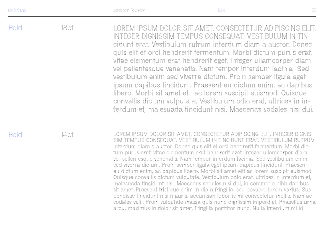Bold 18pt **LOREM IPSUM DOLOR SIT AMET, CONSECTETUR ADIPISCING ELIT. INTEGER DIGNISSIM TEMPUS CONSEQUAT. VESTIBULUM IN TINcidunt erat. Vestibulum rutrum interdum diam a auctor. Donec quis elit et orci hendrerit fermentum. Morbi dictum purus erat, vitae elementum erat hendrerit eget. Integer ullamcorper diam vel pellentesque venenatis. Nam tempor interdum lacinia. Sed vestibulum enim sed viverra dictum. Proin semper ligula eget ipsum dapibus tincidunt. Praesent eu dictum enim, ac dapibus libero. Morbi sit amet elit ac lorem suscipit euismod. Quisque convallis dictum vulputate. Vestibulum odio erat, ultrices in interdum et, malesuada tincidunt nisi. Maecenas sodales nisi dui.** 

Bold

14pt **LOREM IPSUM DOLOR SIT AMET, CONSECTETUR ADIPISCING ELIT. INTEGER DIGNIS-SIM TEMPUS CONSEQUAT. VESTIBULUM IN TINCIDUNT ERAT. VESTIBULUM RUTRUM interdum diam a auctor. Donec quis elit et orci hendrerit fermentum. Morbi dictum purus erat, vitae elementum erat hendrerit eget. Integer ullamcorper diam vel pellentesque venenatis. Nam tempor interdum lacinia. Sed vestibulum enim sed viverra dictum. Proin semper ligula eget ipsum dapibus tincidunt. Praesent eu dictum enim, ac dapibus libero. Morbi sit amet elit ac lorem suscipit euismod. Quisque convallis dictum vulputate. Vestibulum odio erat, ultrices in interdum et, malesuada tincidunt nisi. Maecenas sodales nisi dui, in commodo nibh dapibus sit amet. Praesent tristique enim in diam fringilla, sed posuere lorem varius. Suspendisse tincidunt nisi mauris, accumsan lobortis mi consectetur mollis. Nam ac sodales velit. Proin vulputate massa quis nunc dignissim imperdiet. Phasellus urna arcu, maximus in dolor sit amet, fringilla porttitor nunc. Nulla interdum mi id**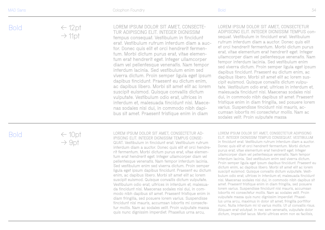Bold

 $\leftarrow$  12pt  $\rightarrow$  11pt **LOREM IPSUM DOLOR SIT AMET, CONSECTE - TUR ADIPISCING ELIT. INTEGER DIGNISSIM tempus consequat. Vestibulum in tincidunt erat. Vestibulum rutrum interdum diam a auc tor. Donec quis elit et orci hendrerit fermen tum. Morbi dictum purus erat, vitae elemen tum erat hendrerit eget. Integer ullamcorper diam vel pellentesque venenatis. Nam tempor interdum lacinia. Sed vestibulum enim sed viverra dictum. Proin semper ligula eget ipsum LOREM IPSUM DOLOR SIT AMET, CONSECTETUR ADIPISCING ELIT. INTEGER DIGNISSIM TEMPUS con sequat. Vestibulum in tincidunt erat. Vestibulum rutrum interdum diam a auctor. Donec quis elit et orci hendrerit fermentum. Morbi dictum purus erat, vitae elementum erat hendrerit eget. Integer ullamcorper diam vel pellentesque venenatis. Nam tempor interdum lacinia. Sed vestibulum enim sed viverra dictum. Proin semper ligula eget ipsum dapibus tincidunt. Praesent eu dictum enim, ac dapibus libero. Morbi sit amet elit ac lorem sus -**

Bold

 $\leftarrow$  10pt  $\rightarrow$  9pt

**LOREM IPSUM DOLOR SIT AMET, CONSECTETUR AD - IPISCING ELIT. INTEGER DIGNISSIM TEMPUS CONSE - QUAT. Vestibulum in tincidunt erat. Vestibulum rutrum interdum diam a auctor. Donec quis elit et orci hendre rit fermentum. Morbi dictum purus erat, vitae elemen tum erat hendrerit eget. Integer ullamcorper diam vel pellentesque venenatis. Nam tempor interdum lacinia. Sed vestibulum enim sed viverra dictum. Proin semper ligula eget ipsum dapibus tincidunt. Praesent eu dictum enim, ac dapibus libero. Morbi sit amet elit ac lorem suscipit euismod. Quisque convallis dictum vulputate. Vestibulum odio erat, ultrices in interdum et, malesua da tincidunt nisi. Maecenas sodales nisi dui, in com modo nibh dapibus sit amet. Praesent tristique enim in diam fringilla, sed posuere lorem varius. Suspendisse tincidunt nisi mauris, accumsan lobortis mi consecte tur mollis. Nam ac sodales velit. Proin vulputate massa quis nunc dignissim imperdiet. Phasellus urna arcu,** 

**dapibus tincidunt. Praesent eu dictum enim, ac dapibus libero. Morbi sit amet elit ac lorem suscipit euismod. Quisque convallis dictum vulputate. Vestibulum odio erat, ultrices in** 

**interdum et, malesuada tincidunt nisi. Maece nas sodales nisi dui, in commodo nibh dapi bus sit amet. Praesent tristique enim in diam** 

> **LOREM IPSUM DOLOR SIT AMET, CONSECTETUR ADIPISCING ELIT. INTEGER DIGNISSIM TEMPUS CONSEQUAT. VESTIBULUM in tincidunt erat. Vestibulum rutrum interdum diam a auctor. Donec quis elit et orci hendrerit fermentum. Morbi dictum purus erat, vitae elementum erat hendrerit eget. Integer ullamcorper diam vel pellentesque venenatis. Nam tempor interdum lacinia. Sed vestibulum enim sed viverra dictum. Proin semper ligula eget ipsum dapibus tincidunt. Praesent eu dictum enim, ac dapibus libero. Morbi sit amet elit ac lorem suscipit euismod. Quisque convallis dictum vulputate. Vesti bulum odio erat, ultrices in interdum et, malesuada tincidunt nisi. Maecenas sodales nisi dui, in commodo nibh dapibus sit amet. Praesent tristique enim in diam fringilla, sed posuere lorem varius. Suspendisse tincidunt nisi mauris, accumsan lobortis mi consectetur mollis. Nam ac sodales velit. Proin vulputate massa quis nunc dignissim imperdiet. Phasel lus urna arcu, maximus in dolor sit amet, fringilla porttitor nunc. Nulla interdum mi id varius mollis. Ut ut convallis risus. Aliquam erat volutpat. In nec sem venenatis, vulputate dolor dictum, imperdiet lacus. Morbi ultrices enim non ex facilisis,**

> **cipit euismod. Quisque convallis dictum vulpu tate. Vestibulum odio erat, ultrices in interdum et, malesuada tincidunt nisi. Maecenas sodales nisi dui, in commodo nibh dapibus sit amet. Praesent tristique enim in diam fringilla, sed posuere lorem varius. Suspendisse tincidunt nisi mauris, ac cumsan lobortis mi consectetur mollis. Nam ac**

**sodales velit. Proin vulputate massa**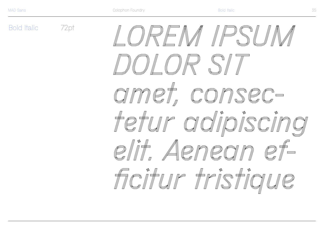**Bold Italic** 

 $72$ pt  $\begin{picture}(20,20) \put(0,0){\line(1,0){10}} \put(15,0){\line(1,0){10}} \put(15,0){\line(1,0){10}} \put(15,0){\line(1,0){10}} \put(15,0){\line(1,0){10}} \put(15,0){\line(1,0){10}} \put(15,0){\line(1,0){10}} \put(15,0){\line(1,0){10}} \put(15,0){\line(1,0){10}} \put(15,0){\line(1,0){10}} \put(15,0){\line(1,0){10}} \put(15,0){\line(1$ IR SI amet consec-Fefur adipiscing Aenean Foitur tristiaure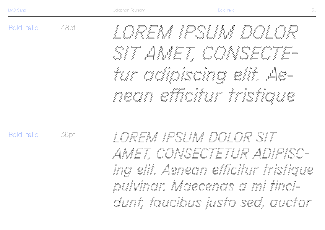Bold Italic

48pt

36pt

*LOREM IPSUM DOLOR SIT AMET, CONSECTEtur adipiscing elit. Aenean efficitur tristique* 

Bold Italic

*LOREM IPSUM DOLOR SIT AMET, CONSECTETUR ADIPISCing elit. Aenean efficitur tristique pulvinar. Maecenas a mi tincidunt, faucibus justo sed, auctor*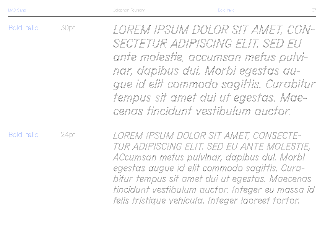Bold Italic 30pt *LOREM IPSUM DOLOR SIT AMET, CON-SECTETUR ADIPISCING ELIT. SED EU ante molestie, accumsan metus pulvinar, dapibus dui. Morbi egestas augue id elit commodo sagittis. Curabitur tempus sit amet dui ut egestas. Maecenas tincidunt vestibulum auctor.*

Bold Italic

24pt

*LOREM IPSUM DOLOR SIT AMET, CONSECTE-TUR ADIPISCING ELIT. SED EU ANTE MOLESTIE, ACcumsan metus pulvinar, dapibus dui. Morbi egestas augue id elit commodo sagittis. Curabitur tempus sit amet dui ut egestas. Maecenas tincidunt vestibulum auctor. Integer eu massa id felis tristique vehicula. Integer laoreet tortor.*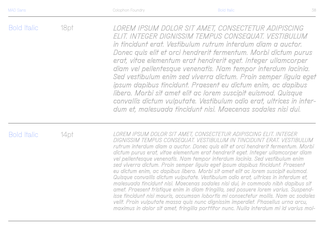Bold Italic 18pt *LOREM IPSUM DOLOR SIT AMET, CONSECTETUR ADIPISCING ELIT. INTEGER DIGNISSIM TEMPUS CONSEQUAT. VESTIBULUM in tincidunt erat. Vestibulum rutrum interdum diam a auctor. Donec quis elit et orci hendrerit fermentum. Morbi dictum purus erat, vitae elementum erat hendrerit eget. Integer ullamcorper diam vel pellentesque venenatis. Nam tempor interdum lacinia. Sed vestibulum enim sed viverra dictum. Proin semper ligula eget ipsum dapibus tincidunt. Praesent eu dictum enim, ac dapibus libero. Morbi sit amet elit ac lorem suscipit euismod. Quisque convallis dictum vulputate. Vestibulum odio erat, ultrices in interdum et, malesuada tincidunt nisi. Maecenas sodales nisi dui.* 

#### Bold Italic

14pt *LOREM IPSUM DOLOR SIT AMET, CONSECTETUR ADIPISCING ELIT. INTEGER DIGNISSIM TEMPUS CONSEQUAT. VESTIBULUM IN TINCIDUNT ERAT. VESTIBULUM rutrum interdum diam a auctor. Donec quis elit et orci hendrerit fermentum. Morbi dictum purus erat, vitae elementum erat hendrerit eget. Integer ullamcorper diam vel pellentesque venenatis. Nam tempor interdum lacinia. Sed vestibulum enim sed viverra dictum. Proin semper ligula eget ipsum dapibus tincidunt. Praesent eu dictum enim, ac dapibus libero. Morbi sit amet elit ac lorem suscipit euismod. Quisque convallis dictum vulputate. Vestibulum odio erat, ultrices in interdum et, malesuada tincidunt nisi. Maecenas sodales nisi dui, in commodo nibh dapibus sit amet. Praesent tristique enim in diam fringilla, sed posuere lorem varius. Suspendisse tincidunt nisi mauris, accumsan lobortis mi consectetur mollis. Nam ac sodales velit. Proin vulputate massa quis nunc dignissim imperdiet. Phasellus urna arcu, maximus in dolor sit amet, fringilla porttitor nunc. Nulla interdum mi id varius mol-*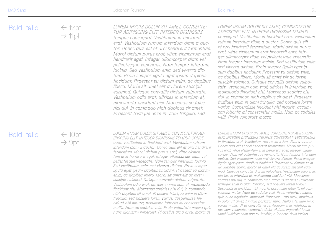Bold Italic  $\leftarrow$  12pt  $\rightarrow$  11pt *LOREM IPSUM DOLOR SIT AMET, CONSECTE-TUR ADIPISCING ELIT. INTEGER DIGNISSIM tempus consequat. Vestibulum in tincidunt erat. Vestibulum rutrum interdum diam a auctor. Donec quis elit et orci hendrerit fermentum. Morbi dictum purus erat, vitae elementum erat hendrerit eget. Integer ullamcorper diam vel LOREM IPSUM DOLOR SIT AMET, CONSECTETUR ADIPISCING ELIT. INTEGER DIGNISSIM TEMPUS consequat. Vestibulum in tincidunt erat. Vestibulum rutrum interdum diam a auctor. Donec quis elit et orci hendrerit fermentum. Morbi dictum purus erat, vitae elementum erat hendrerit eget. Integer ullamcorper diam vel pellentesque venenatis. Nam tempor interdum lacinia. Sed vestibulum enim* 

*pellentesque venenatis. Nam tempor interdum lacinia. Sed vestibulum enim sed viverra dictum. Proin semper ligula eget ipsum dapibus tincidunt. Praesent eu dictum enim, ac dapibus libero. Morbi sit amet elit ac lorem suscipit euismod. Quisque convallis dictum vulputate. Vestibulum odio erat, ultrices in interdum et, malesuada tincidunt nisi. Maecenas sodales nisi dui, in commodo nibh dapibus sit amet. Praesent tristique enim in diam fringilla, sed.*

#### Bold Italic

 $\leftarrow$  10pt  $\rightarrow$  9pt

*LOREM IPSUM DOLOR SIT AMET, CONSECTETUR AD-IPISCING ELIT. INTEGER DIGNISSIM TEMPUS CONSEquat. Vestibulum in tincidunt erat. Vestibulum rutrum interdum diam a auctor. Donec quis elit et orci hendrerit fermentum. Morbi dictum purus erat, vitae elementum erat hendrerit eget. Integer ullamcorper diam vel pellentesque venenatis. Nam tempor interdum lacinia. Sed vestibulum enim sed viverra dictum. Proin semper ligula eget ipsum dapibus tincidunt. Praesent eu dictum enim, ac dapibus libero. Morbi sit amet elit ac lorem suscipit euismod. Quisque convallis dictum vulputate. Vestibulum odio erat, ultrices in interdum et, malesuada tincidunt nisi. Maecenas sodales nisi dui, in commodo nibh dapibus sit amet. Praesent tristique enim in diam fringilla, sed posuere lorem varius. Suspendisse tincidunt nisi mauris, accumsan lobortis mi consectetur mollis. Nam ac sodales velit. Proin vulputate massa quis nunc dignissim imperdiet. Phasellus urna arcu, maximus* 

*LOREM IPSUM DOLOR SIT AMET, CONSECTETUR ADIPISCING ELIT. INTEGER DIGNISSIM TEMPUS CONSEQUAT. VESTIBULUM in tincidunt erat. Vestibulum rutrum interdum diam a auctor. Donec quis elit et orci hendrerit fermentum. Morbi dictum purus erat, vitae elementum erat hendrerit eget. Integer ullamcorper diam vel pellentesque venenatis. Nam tempor interdum lacinia. Sed vestibulum enim sed viverra dictum. Proin semper ligula eget ipsum dapibus tincidunt. Praesent eu dictum enim, ac dapibus libero. Morbi sit amet elit ac lorem suscipit euismod. Quisque convallis dictum vulputate. Vestibulum odio erat, ultrices in interdum et, malesuada tincidunt nisi. Maecenas sodales nisi dui, in commodo nibh dapibus sit amet. Praesent tristique enim in diam fringilla, sed posuere lorem varius. Suspendisse tincidunt nisi mauris, accumsan lobortis mi consectetur mollis. Nam ac sodales velit. Proin vulputate massa quis nunc dignissim imperdiet. Phasellus urna arcu, maximus in dolor sit amet, fringilla porttitor nunc. Nulla interdum mi id varius mollis. Ut ut convallis risus. Aliquam erat volutpat. In nec sem venenatis, vulputate dolor dictum, imperdiet lacus. Morbi ultrices enim non ex facilisis, a lobortis risus lacinia.* 

*sed viverra dictum. Proin semper ligula eget ipsum dapibus tincidunt. Praesent eu dictum enim, ac dapibus libero. Morbi sit amet elit ac lorem suscipit euismod. Quisque convallis dictum vulputate. Vestibulum odio erat, ultrices in interdum et, malesuada tincidunt nisi. Maecenas sodales nisi dui, in commodo nibh dapibus sit amet. Praesent tristique enim in diam fringilla, sed posuere lorem varius. Suspendisse tincidunt nisi mauris, accumsan lobortis mi consectetur mollis. Nam ac sodales* 

*velit. Proin vulputate massa*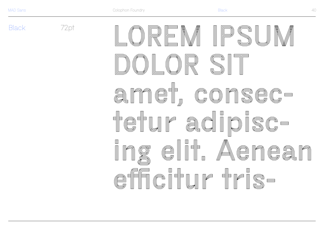**Black** 

 $72<sub>pt</sub>$ EM IPSL UR SI annel, consec-Hefur adipisc- $\hfill\blacksquare$ g eli<sup>e</sup> Aenea n efficillr tra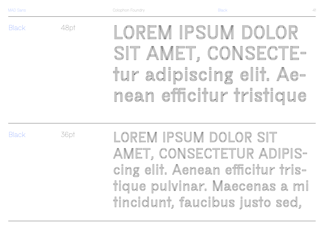Black

LOREM IPSUM DOLOR SIT AMET, CONSECTEtur adipiscing elit. Aenean efficitur tristique

**Black** 

36pt

48pt

LOREM IPSUM DOLOR SIT AMET, CONSECTETUR ADIPIScing elit. Aenean efficitur tristique pulvinar. Maecenas a mi tincidunt, faucibus justo sed,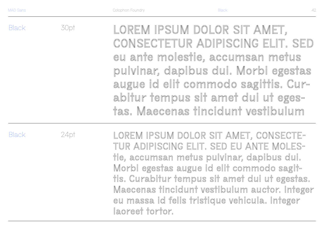**Black** 30pt LOREM IPSUM DOLOR SIT AMET, CONSECTETUR ADIPISCING ELIT. SED eu ante molestie, accumsan metus pulvinar, dapibus dui. Morbi egestas augue id elit commodo sagittis. Curabitur tempus sit amet dui ut egestas. Maecenas tincidunt vestibulum

**Black** 

24pt

LOREM IPSUM DOLOR SIT AMET, CONSECTE-TUR ADIPISCING ELIT. SED EU ANTE MOLEStie, accumsan metus pulvinar, dapibus dui. Morbi egestas augue id elit commodo sagittis. Curabitur tempus sit amet dui ut egestas. Maecenas tincidunt vestibulum auctor. Integer eu massa id felis tristique vehicula. Integer laoreet tortor.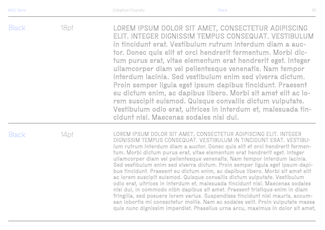Black **Black** 18pt 14pt **LOREM IPSUM DOLOR SIT AMET, CONSECTETUR ADIPISCING ELIT. INTEGER** DIGNISSIM TEMPUS CONSEQUAT. VESTIBULUM IN TINCIDUNT ERAT. VESTIBUlum rutrum interdum diam a auctor. Donec quis elit et orci hendrerit fermentum. Morbi dictum purus erat, vitae elementum erat hendrerit eget. Integer ullamcorper diam vel pellentesque venenatis. Nam tempor interdum lacinia. Sed vestibulum enim sed viverra dictum. Proin semper ligula eget ipsum dapibus tincidunt. Praesent eu dictum enim, ac dapibus libero. Morbi sit amet elit ac lorem suscipit euismod. Quisque convallis dictum vulputate. Vestibulum odio erat, ultrices in interdum et, malesuada tincidunt nisi. Maecenas sodales nisi dui, in commodo nibh dapibus sit amet. Praesent tristique enim in diam LOREM IPSUM DOLOR SIT AMET, CONSECTETUR ADIPISCING ELIT. INTEGER DIGNISSIM TEMPUS CONSEQUAT. VESTIBULUM in tincidunt erat. Vestibulum rutrum interdum diam a auctor. Donec quis elit et orci hendrerit fermentum. Morbi dictum purus erat, vitae elementum erat hendrerit eget. Integer ullamcorper diam vel pellentesque venenatis. Nam tempor interdum lacinia. Sed vestibulum enim sed viverra dictum. Proin semper ligula eget ipsum dapibus tincidunt. Praesent eu dictum enim, ac dapibus libero. Morbi sit amet elit ac lorem suscipit euismod. Quisque convallis dictum vulputate. Vestibulum odio erat, ultrices in interdum et, malesuada tincidunt nisi. Maecenas sodales nisi dui.

fringilla, sed posuere lorem varius. Suspendisse tincidunt nisi mauris, accumsan lobortis mi consectetur mollis. Nam ac sodales velit. Proin vulputate massa quis nunc dignissim imperdiet. Phasellus urna arcu, maximus in dolor sit amet,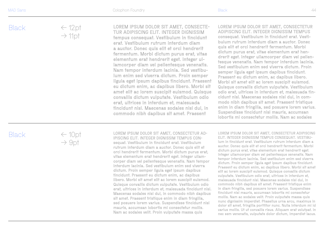$\leftarrow$  12pt  $\rightarrow$  11pt

LOREM IPSUM DOLOR SIT AMET, CONSECTE - TUR ADIPISCING ELIT. INTEGER DIGNISSIM tempus consequat. Vestibulum in tincidunt erat. Vestibulum rutrum interdum diam a auctor. Donec quis elit et orci hendrerit fermentum. Morbi dictum purus erat, vitae elementum erat hendrerit eget. Integer ul lamcorper diam vel pellentesque venenatis. Nam tempor interdum lacinia. Sed vestibu lum enim sed viverra dictum. Proin semper ligula eget ipsum dapibus tincidunt. Praesent eu dictum enim, ac dapibus libero. Morbi sit amet elit ac lorem suscipit euismod. Quisque convallis dictum vulputate. Vestibulum odio erat, ultrices in interdum et, malesuada tincidunt nisi. Maecenas sodales nisi dui, in commodo nibh dapibus sit amet. Praesent

LOREM IPSUM DOLOR SIT AMET, CONSECTETUR ADIPISCING ELIT. INTEGER DIGNISSIM TEMPUS consequat. Vestibulum in tincidunt erat. Vesti bulum rutrum interdum diam a auctor. Donec quis elit et orci hendrerit fermentum. Morbi dictum purus erat, vitae elementum erat hen drerit eget. Integer ullamcorper diam vel pellen tesque venenatis. Nam tempor interdum lacinia. Sed vestibulum enim sed viverra dictum. Proin semper ligula eget ipsum dapibus tincidunt. Praesent eu dictum enim, ac dapibus libero. Morbi sit amet elit ac lorem suscipit euismod. Quisque convallis dictum vulputate. Vestibulum odio erat, ultrices in interdum et, malesuada tin cidunt nisi. Maecenas sodales nisi dui, in com modo nibh dapibus sit amet. Praesent tristique enim in diam fringilla, sed posuere lorem varius. Suspendisse tincidunt nisi mauris, accumsan lobortis mi consectetur mollis. Nam ac sodales

#### Black

 $\leftarrow$  10pt  $\rightarrow$  9pt

LOREM IPSUM DOLOR SIT AMET, CONSECTETUR AD - IPISCING ELIT. INTEGER DIGNISSIM TEMPUS CONsequat. Vestibulum in tincidunt erat. Vestibulum rutrum interdum diam a auctor. Donec quis elit et orci hendrerit fermentum. Morbi dictum purus erat, vitae elementum erat hendrerit eget. Integer ullam corper diam vel pellentesque venenatis. Nam tempor interdum lacinia. Sed vestibulum enim sed viverra dictum. Proin semper ligula eget ipsum dapibus tincidunt. Praesent eu dictum enim, ac dapibus libero. Morbi sit amet elit ac lorem suscipit euismod. Quisque convallis dictum vulputate. Vestibulum odio erat, ultrices in interdum et, malesuada tincidunt nisi. Maecenas sodales nisi dui, in commodo nibh dapibus sit amet. Praesent tristique enim in diam fringilla, sed posuere lorem varius. Suspendisse tincidunt nisi mauris, accumsan lobortis mi consectetur mollis. Nam ac sodales velit. Proin vulputate massa quis

LOREM IPSUM DOLOR SIT AMET, CONSECTETUR ADIPISCING ELIT. INTEGER DIGNISSIM TEMPUS CONSEQUAT. VESTIBU lum in tincidunt erat. Vestibulum rutrum interdum diam a auctor. Donec quis elit et orci hendrerit fermentum. Morbi dictum purus erat, vitae elementum erat hendrerit eget. Integer ullamcorper diam vel pellentesque venenatis. Nam tempor interdum lacinia. Sed vestibulum enim sed viverra dictum. Proin semper ligula eget ipsum dapibus tincidunt. Praesent eu dictum enim, ac dapibus libero. Morbi sit amet elit ac lorem suscipit euismod. Quisque convallis dictum vulputate. Vestibulum odio erat, ultrices in interdum et, malesuada tincidunt nisi. Maecenas sodales nisi dui, in commodo nibh dapibus sit amet. Praesent tristique enim in diam fringilla, sed posuere lorem varius. Suspendisse tincidunt nisi mauris, accumsan lobortis mi consectetur mollis. Nam ac sodales velit. Proin vulputate massa quis nunc dignissim imperdiet. Phasellus urna arcu, maximus in dolor sit amet, fringilla porttitor nunc. Nulla interdum mi id varius mollis. Ut ut convallis risus. Aliquam erat volutpat. In nec sem venenatis, vulputate dolor dictum, imperdiet lacus.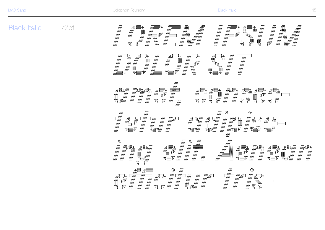**Black Italic** 

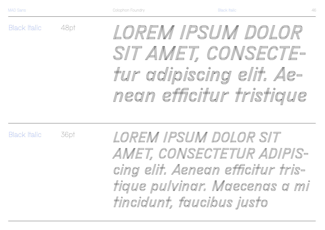Black Italic

48pt

36pt

*LOREM IPSUM DOLOR SIT AMET, CONSECTEtur adipiscing elit. Aenean efficitur tristique* 

Black Italic

*LOREM IPSUM DOLOR SIT AMET, CONSECTETUR ADIPIScing elit. Aenean efficitur tristique pulvinar. Maecenas a mi tincidunt, faucibus justo*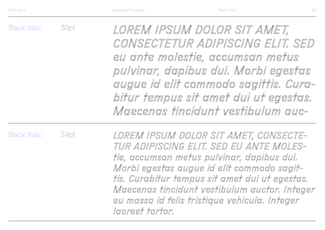Black Italic 30pt *LOREM IPSUM DOLOR SIT AMET, CONSECTETUR ADIPISCING ELIT. SED eu ante molestie, accumsan metus pulvinar, dapibus dui. Morbi egestas augue id elit commodo sagittis. Curabitur tempus sit amet dui ut egestas. Maecenas tincidunt vestibulum auc-*

Black Italic

24pt

*LOREM IPSUM DOLOR SIT AMET, CONSECTE-TUR ADIPISCING ELIT. SED EU ANTE MOLEStie, accumsan metus pulvinar, dapibus dui. Morbi egestas augue id elit commodo sagittis. Curabitur tempus sit amet dui ut egestas. Maecenas tincidunt vestibulum auctor. Integer eu massa id felis tristique vehicula. Integer laoreet tortor.*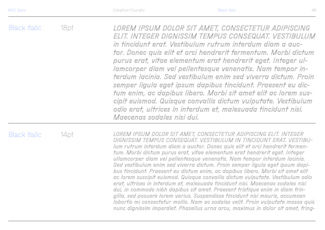Black Italic Black Italic 18pt 14pt *LOREM IPSUM DOLOR SIT AMET, CONSECTETUR ADIPISCING ELIT. INTEGER DIGNISSIM TEMPUS CONSEQUAT. VESTIBULUM IN TINCIDUNT ERAT. VESTIBUlum rutrum interdum diam a auctor. Donec quis elit et orci hendrerit fermentum. Morbi dictum purus erat, vitae elementum erat hendrerit eget. Integer ullamcorper diam vel pellentesque venenatis. Nam tempor interdum lacinia. Sed vestibulum enim sed viverra dictum. Proin semper ligula eget ipsum dapibus tincidunt. Praesent eu dictum enim, ac dapibus libero. Morbi sit amet elit ac lorem suscipit euismod. Quisque convallis dictum vulputate. Vestibulum odio erat, ultrices in interdum et, malesuada tincidunt nisi. Maecenas sodales nisi dui, in commodo nibh dapibus sit amet. Praesent tristique enim in diam frin-LOREM IPSUM DOLOR SIT AMET, CONSECTETUR ADIPISCING ELIT. INTEGER DIGNISSIM TEMPUS CONSEQUAT. VESTIBULUM in tincidunt erat. Vestibulum rutrum interdum diam a auctor. Donec quis elit et orci hendrerit fermentum. Morbi dictum purus erat, vitae elementum erat hendrerit eget. Integer ullamcorper diam vel pellentesque venenatis. Nam tempor interdum lacinia. Sed vestibulum enim sed viverra dictum. Proin semper ligula eget ipsum dapibus tincidunt. Praesent eu dictum enim, ac dapibus libero. Morbi sit amet elit ac lorem suscipit euismod. Quisque convallis dictum vulputate. Vestibulum odio erat, ultrices in interdum et, malesuada tincidunt nisi. Maecenas sodales nisi dui.* 

*gilla, sed posuere lorem varius. Suspendisse tincidunt nisi mauris, accumsan lobortis mi consectetur mollis. Nam ac sodales velit. Proin vulputate massa quis nunc dignissim imperdiet. Phasellus urna arcu, maximus in dolor sit amet, fring-*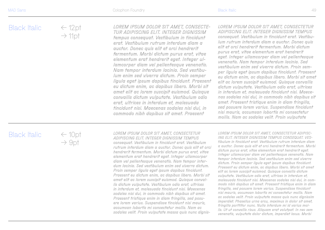#### $\leftarrow$  12pt  $\rightarrow$  11pt

*LOREM IPSUM DOLOR SIT AMET, CONSECTE-TUR ADIPISCING ELIT. INTEGER DIGNISSIM tempus consequat. Vestibulum in tincidunt erat. Vestibulum rutrum interdum diam a auctor. Donec quis elit et orci hendrerit fermentum. Morbi dictum purus erat, vitae elementum erat hendrerit eget. Integer ullamcorper diam vel pellentesque venenatis. Nam tempor interdum lacinia. Sed vestibulum enim sed viverra dictum. Proin semper ligula eget ipsum dapibus tincidunt. Praesent eu dictum enim, ac dapibus libero. Morbi sit amet elit ac lorem suscipit euismod. Quisque convallis dictum vulputate. Vestibulum odio erat, ultrices in interdum et, malesuada tincidunt nisi. Maecenas sodales nisi dui, in commodo nibh dapibus sit amet. Praesent* 

*LOREM IPSUM DOLOR SIT AMET, CONSECTETUR ADIPISCING ELIT. INTEGER DIGNISSIM TEMPUS consequat. Vestibulum in tincidunt erat. Vestibulum rutrum interdum diam a auctor. Donec quis elit et orci hendrerit fermentum. Morbi dictum purus erat, vitae elementum erat hendrerit eget. Integer ullamcorper diam vel pellentesque venenatis. Nam tempor interdum lacinia. Sed vestibulum enim sed viverra dictum. Proin semper ligula eget ipsum dapibus tincidunt. Praesent eu dictum enim, ac dapibus libero. Morbi sit amet elit ac lorem suscipit euismod. Quisque convallis dictum vulputate. Vestibulum odio erat, ultrices in interdum et, malesuada tincidunt nisi. Maecenas sodales nisi dui, in commodo nibh dapibus sit amet. Praesent tristique enim in diam fringilla, sed posuere lorem varius. Suspendisse tincidunt nisi mauris, accumsan lobortis mi consectetur mollis. Nam ac sodales velit. Proin vulputate* 

## Black Italic

 $\leftarrow$  10pt  $\rightarrow$  9pt

*LOREM IPSUM DOLOR SIT AMET, CONSECTETUR ADIPISCING ELIT. INTEGER DIGNISSIM TEMPUS consequat. Vestibulum in tincidunt erat. Vestibulum rutrum interdum diam a auctor. Donec quis elit et orci hendrerit fermentum. Morbi dictum purus erat, vitae elementum erat hendrerit eget. Integer ullamcorper diam vel pellentesque venenatis. Nam tempor interdum lacinia. Sed vestibulum enim sed viverra dictum. Proin semper ligula eget ipsum dapibus tincidunt. Praesent eu dictum enim, ac dapibus libero. Morbi sit amet elit ac lorem suscipit euismod. Quisque convallis dictum vulputate. Vestibulum odio erat, ultrices in interdum et, malesuada tincidunt nisi. Maecenas sodales nisi dui, in commodo nibh dapibus sit amet. Praesent tristique enim in diam fringilla, sed posuere lorem varius. Suspendisse tincidunt nisi mauris, accumsan lobortis mi consectetur mollis. Nam ac sodales velit. Proin vulputate massa quis nunc dignis-* *LOREM IPSUM DOLOR SIT AMET, CONSECTETUR ADIPISC-ING ELIT. INTEGER DIGNISSIM TEMPUS CONSEQUAT. VEStibulum in tincidunt erat. Vestibulum rutrum interdum diam a auctor. Donec quis elit et orci hendrerit fermentum. Morbi dictum purus erat, vitae elementum erat hendrerit eget. Integer ullamcorper diam vel pellentesque venenatis. Nam tempor interdum lacinia. Sed vestibulum enim sed viverra dictum. Proin semper ligula eget ipsum dapibus tincidunt. Praesent eu dictum enim, ac dapibus libero. Morbi sit amet elit ac lorem suscipit euismod. Quisque convallis dictum vulputate. Vestibulum odio erat, ultrices in interdum et, malesuada tincidunt nisi. Maecenas sodales nisi dui, in commodo nibh dapibus sit amet. Praesent tristique enim in diam fringilla, sed posuere lorem varius. Suspendisse tincidunt nisi mauris, accumsan lobortis mi consectetur mollis. Nam ac sodales velit. Proin vulputate massa quis nunc dignissim imperdiet. Phasellus urna arcu, maximus in dolor sit amet, fringilla porttitor nunc. Nulla interdum mi id varius mollis. Ut ut convallis risus. Aliquam erat volutpat. In nec sem venenatis, vulputate dolor dictum, imperdiet lacus. Morbi*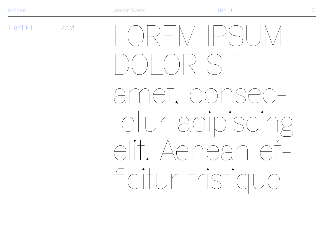Light Fill 72pt  $\langle \rangle$  )  $\rangle$   $\rightarrow$   $\setminus$   $\setminus$   $\parallel$   $\setminus$   $\setminus$   $\setminus$   $\setminus$ amet, consectetur adipiscing elit. Aenean efficitur tristique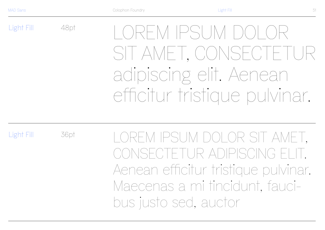Light Fill

48pt LOREM IPSUM DOLOR SIT AMET, CONSECTETUR adipiscing elit. Aenean efficitur tristique pulvinar.

Light Fill

36pt

LOREM IPSUM DOLOR SIT AMET, CONSECTETUR ADIPISCING EI Aenean efficitur tristique pulvinar. Maecenas a mi tincidunt, faucibus justo sed, auctor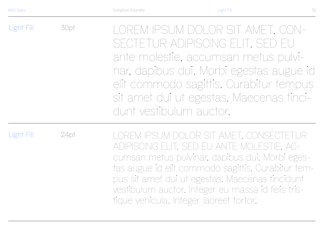Light Fill 30pt LOREM IPSUM DOLOR SIT AMET, CON-SECTETUR ADIPISCING ELIT. SED EU ante molestie, accumsan metus pulvinar, dapibus dui. Morbi egestas augue id elit commodo sagittis. Curabitur tempus sit amet dui ut egestas. Maecenas tincidunt vestibulum auctor.

Light Fill

24pt

LOREM IPSUM DOLOR SIT AMET, CONSECTETUR ADIPISCING ELIT. SED EU ANTE MOLESTIE, ACcumsan metus pulvinar, dapibus dui. Morbi egestas augue id elit commodo sagittis. Curabitur tempus sit amet dui ut egestas. Maecenas tincidunt vestibulum auctor. Integer eu massa id felis tristique vehicula. Integer laoreet tortor.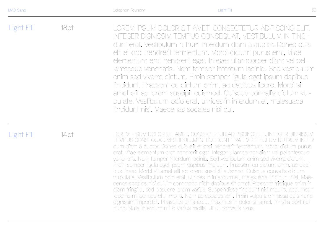| Light Fill | 18pt | LOREM IPSUM DOLOR SIT AMET, CONSECTETUR ADIPISCING ELIT.<br>INTEGER DIGNISSIM TEMPUS CONSEQUAT. VESTIBULUM IN TINCI-<br>dunt erat. Vestibulum rutrum interdum diam a auctor. Donec quis<br>elit et orci hendrerit fermentum. Morbi dictum purus erat, vitae<br>elementum erat hendrerit eget. Integer ullamcorper diam vel pel-<br>lentesque venenatis. Nam tempor interdum lacinia. Sed vestibulum<br>enim sed viverra dictum. Proin semper ligula eget ipsum dapibus<br>tincidunt. Praesent eu dictum enim, ac dapibus libero. Morbi sit<br>amet elit ac lorem suscipit euismod. Quisque convallis dictum vul-<br>putate. Vestibulum odio erat, ultrices in interdum et, malesuada |
|------------|------|--------------------------------------------------------------------------------------------------------------------------------------------------------------------------------------------------------------------------------------------------------------------------------------------------------------------------------------------------------------------------------------------------------------------------------------------------------------------------------------------------------------------------------------------------------------------------------------------------------------------------------------------------------------------------------------|
|            |      | tincidunt nisi. Maecenas sodales nisi dui.                                                                                                                                                                                                                                                                                                                                                                                                                                                                                                                                                                                                                                           |

# Light Fill

14pt LOREM IPSUM DOLOR SIT AMET, CONSECTETUR ADIPISCING ELIT. INTEGER DIGNISSIM TEMPUS CONSEQUAT. VESTIBULUM IN TINCIDUNT ERAT. VESTIBULUM RUTRUM INTERdum diam a auctor. Donec quis elit et orci hendrerit fermentum. Morbi dictum purus erat, vitae elementum erat hendrerit eget. Integer ullamcorper diam vel pellentesque venenatis. Nam tempor interdum lacinia. Sed vestibulum enim sed viverra dictum. Proin semper ligula eget ipsum dapibus tincidunt. Praesent eu dictum enim, ac dapibus libero. Morbi sit amet elit ac lorem suscipit euismod. Quisque convallis dictum vulputate. Vestibulum odio erat, ultrices in interdum et, malesuada tincidunt nisi. Maecenas sodales nisi dui, in commodo nibh dapibus sit amet. Praesent tristique enim in diam fringilla, sed posuere lorem varius. Suspendisse tincidunt nisi mauris, accumsan lobortis mi consectetur mollis. Nam ac sodales velit. Proin vulputate massa quis nunc dignissim imperdiet. Phasellus urna arcu, maximus in dolor sit amet, fringilla porttitor nunc. Nulla interdum mi id varius mollis. Ut ut convallis risus.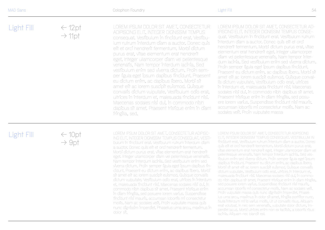fringilla, sed.

| Light Fill | $\leftarrow$ 12pt<br>$\rightarrow$ 11pt | LOREM IPSUM DOLOR SIT AMET, CONSECTETUR<br>ADIPISCING ELIT. INTEGER DIGNISSIM TEMPUS<br>consequat. Vestibulum in tincidunt erat. Vestibu-<br>lum rutrum interdum diam a auctor. Donec quis<br>elit et orci hendrerit fermentum. Morbi dictum<br>purus erat, vitae elementum erat hendrerit<br>eget. Integer ullamcorper diam vel pellentesque<br>venenatis. Nam tempor interdum lacinia. Sed<br>vestibulum enim sed viverra dictum. Proin sem-<br>per ligula eget ipsum dapibus fincidunt. Praesent<br>eu dictum enim, ac dapibus libero. Morbi sit | LOREM IPSUM DOLOR SIT AMET, CONSECTETUR AD-<br><b>IPISCING ELIT. INTEGER DIGNISSIM TEMPUS CONSE-</b><br>quat. Vestibulum in tincidunt erat. Vestibulum rutrum<br>interdum diam a auctor. Donec quis elit et orci<br>hendrerit fermentum. Morbi dictum purus erat, vitae<br>elementum erat hendrerit eget. Integer ullamcorper<br>diam vel pellentesque venenatis. Nam tempor inter-<br>dum lacinia. Sed vestibulum enim sed viverra dictum.<br>Proin semper ligula eget ipsum dapibus fincidunt<br>Praesent eu dictum enim, ac dapibus libero. Morbi sit<br>amet elit ac lorem suscipit euismod. Quisque conval-<br>lis dictum vulputate. Vestibulum odio erat, ultrices |
|------------|-----------------------------------------|-----------------------------------------------------------------------------------------------------------------------------------------------------------------------------------------------------------------------------------------------------------------------------------------------------------------------------------------------------------------------------------------------------------------------------------------------------------------------------------------------------------------------------------------------------|--------------------------------------------------------------------------------------------------------------------------------------------------------------------------------------------------------------------------------------------------------------------------------------------------------------------------------------------------------------------------------------------------------------------------------------------------------------------------------------------------------------------------------------------------------------------------------------------------------------------------------------------------------------------------|
|------------|-----------------------------------------|-----------------------------------------------------------------------------------------------------------------------------------------------------------------------------------------------------------------------------------------------------------------------------------------------------------------------------------------------------------------------------------------------------------------------------------------------------------------------------------------------------------------------------------------------------|--------------------------------------------------------------------------------------------------------------------------------------------------------------------------------------------------------------------------------------------------------------------------------------------------------------------------------------------------------------------------------------------------------------------------------------------------------------------------------------------------------------------------------------------------------------------------------------------------------------------------------------------------------------------------|

amet elit ac lorem suscipit euismod. Quisque convallis dictum vulputate. Vestibulum odio erat, ultrices in interdum et, malesuada tincidunt nisi. Maecenas sodales nisi dui, in commodo nibh dapibus sit amet. Praesent tristique enim in diam

### Light Fill

 $\leftarrow$  10pt  $\rightarrow$  9pt

LOREM IPSUM DOLOR SIT AMET, CONSECTETUR ADIPISC - ING ELIT. INTEGER DIGNISSIM TEMPUS CONSEQUAT. VESTI bulum in tincidunt erat. Vestibulum rutrum interdum diam a auctor. Donec quis elit et orci hendrerit fermentum. Morbi dictum purus erat, vitae elementum erat hendrerit eget. Integer ullamcorper diam vel pellentesque venenatis. Nam tempor interdum lacinia. Sed vestibulum enim sed viverra dictum. Proin semper ligula eget ipsum dapibus tin cidunt. Praesent eu dictum enim, ac dapibus libero. Morbi sit amet elit ac lorem suscipit euismod. Quisque convallis dictum vulputate. Vestibulum odio erat, ultrices in interdum et, malesuada tincidunt nisi. Maecenas sodales nisi dui, in commodo nibh dapibus sit amet. Praesent tristique enim in diam fringilla, sed posuere lorem varius. Suspendisse tincidunt nisi mauris, accumsan lobortis mi consectetur mollis. Nam ac sodales velit. Proin vulputate massa quis nunc dignissim imperdiet. Phasellus urna arcu, maximus in dolor sit.

LOREM IPSUM DOLOR SIT AMET, CONSECTETUR ADIPISCING ELIT. INTEGER DIGNISSIM TEMPUS CONSEQUAT. VESTIBULUM IN tincidunt erat. Vestibulum rutrum interdum diam a auctor. Donec quis elit et orci hendrerit fermentum. Morbi dictum purus erat, vitae elementum erat hendrerit eget. Integer ullamcorper diam vel pellentesque venenatis. Nam tempor interdum lacinia. Sed ves tibulum enim sed viverra dictum. Proin semper ligula eget ipsum dapibus tincidunt. Praesent eu dictum enim, ac dapibus libero. Morbi sit amet elit ac lorem suscipit euismod. Quisque convallis dictum vulputate. Vestibulum odio erat, ultrices in interdum et, malesuada tincidunt nisi. Maecenas sodales nisi dui, in commo do nibh dapibus sit amet. Praesent tristique enim in diam fringilla, sed posuere lorem varius. Suspendisse tincidunt nisi mauris, accumsan lobortis mi consectetur mollis. Nam ac sodales velit. Proin vulputate massa quis nunc dignissim imperdiet. Phasel lus urna arcu, maximus in dolor sit amet, fringilla porttitor nunc. Nulla interdum mi id varius mollis. Ut ut convallis risus. Aliquam erat volutpat. In nec sem venenatis, vulputate dolor dictum, im perdiet lacus. Morbi ultrices enim non ex facilisis, a lobortis risus lacinia. Aliquam nec blandit est.

in interdum et, malesuada tincidunt nisi. Maecenas sodales nisi dui, in commodo nibh dapibus sit amet. Praesent tristique enim in diam fringilla, sed posu ere lorem varius. Suspendisse tincidunt nisi mauris, accumsan lobortis mi consectetur mollis. Nam ac

sodales velit. Proin vulputate massa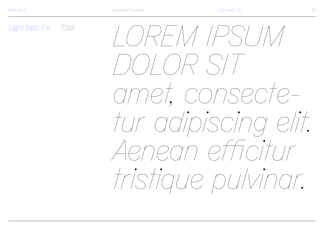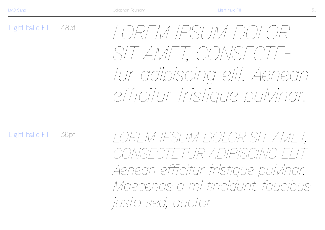Light Italic Fill 48pt

*LOREM IPSUM DOLOR SIT AMET, CONSECTEtur adipiscing elit. Aenean efficitur tristique pulvinar.* 

Light Italic Fill 36pt

*LOREM IPSUM DOLOR SIT AMET, CONSECTETUR ADIPISCING ELIT. Aenean efficitur tristique pulvinar. Maecenas a mi tincidunt, faucibus justo sed, auctor*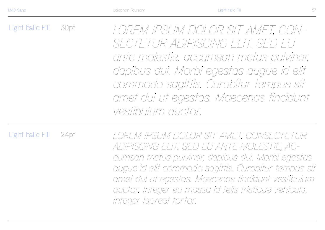Light Italic Fill 30pt *LOREM IPSUM DOLOR SIT AMET, CON-SECTETUR ADIPISCING ELIT. SED EU ante molestie, accumsan metus pulvinar, dapibus dui. Morbi egestas augue id elit commodo sagittis. Curabitur tempus sit amet dui ut egestas. Maecenas tincidunt vestibulum auctor.*

Light Italic Fill 24pt

*LOREM IPSUM DOLOR SIT AMET, CONSECTETUR ADIPISCING ELIT. SED EU ANTE MOLESTIE, ACcumsan metus pulvinar, dapibus dui. Morbi egestas augue id elit commodo sagittis. Curabitur tempus sit amet dui ut egestas. Maecenas tincidunt vestibulum auctor. Integer eu massa id felis tristique vehicula. Integer laoreet tortor.*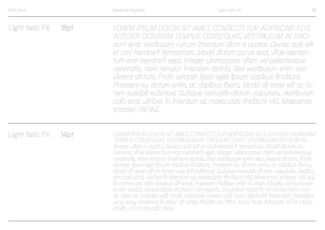Light Italic Fill 18pt *LOREM IPSUM DOLOR SIT AMET, CONSECTETUR ADIPISCING ELIT. INTEGER DIGNISSIM TEMPUS CONSEQUAT. VESTIBULUM IN TINCIdunt erat. Vestibulum rutrum interdum diam a auctor. Donec quis elit et orci hendrerit fermentum. Morbi dictum purus erat, vitae elementum erat hendrerit eget. Integer ullamcorper diam vel pellentesque venenatis. Nam tempor interdum lacinia. Sed vestibulum enim sed viverra dictum. Proin semper ligula eget ipsum dapibus tincidunt. Praesent eu dictum enim, ac dapibus libero. Morbi sit amet elit ac lorem suscipit euismod. Quisque convallis dictum vulputate. Vestibulum odio erat, ultrices in interdum et, malesuada tincidunt nisi. Maecenas sodales nisi dui.* 

#### Light Italic Fill

14pt *LOREM IPSUM DOLOR SIT AMET, CONSECTETUR ADIPISCING ELIT. INTEGER DIGNISSIM TEMPUS CONSEQUAT. VESTIBULUM IN TINCIDUNT ERAT. VESTIBULUM RUTRUM INterdum diam a auctor. Donec quis elit et orci hendrerit fermentum. Morbi dictum purus erat, vitae elementum erat hendrerit eget. Integer ullamcorper diam vel pellentesque venenatis. Nam tempor interdum lacinia. Sed vestibulum enim sed viverra dictum. Proin semper ligula eget ipsum dapibus tincidunt. Praesent eu dictum enim, ac dapibus libero. Morbi sit amet elit ac lorem suscipit euismod. Quisque convallis dictum vulputate. Vestibulum odio erat, ultrices in interdum et, malesuada tincidunt nisi. Maecenas sodales nisi dui, in commodo nibh dapibus sit amet. Praesent tristique enim in diam fringilla, sed posuere lorem varius. Suspendisse tincidunt nisi mauris, accumsan lobortis mi consectetur mollis. Nam ac sodales velit. Proin vulputate massa quis nunc dignissim imperdiet. Phasellus urna arcu, maximus in dolor sit amet, fringilla porttitor nunc. Nulla interdum mi id varius mollis. Ut ut convallis risus.*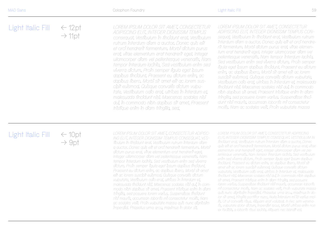| Light Italic Fill | $\leftarrow$ 12pt<br>$\rightarrow$ 11pt | LOREM IPSUM DOLOR SIT AMET, CONSECTETUR<br>ADIPISCING ELIT. INTEGER DIGNISSIM TEMPUS<br>consequat. Vestibulum in tincidunt erat. Vestibulum                                                                                                                                                                                                                                                                                                                                                                                                                                           | LOREM IPSUM DOLOR SIT AMET, CONSECTETUR<br>ADIPISCING ELIT. INTEGER DIGNISSIM TEMPUS CON-<br>sequat Vestibulum in tincidunt erat. Vestibulum rutrum                                                                                                                                                                                                                                                                                                                                                                                                                                                                                                                                                              |
|-------------------|-----------------------------------------|---------------------------------------------------------------------------------------------------------------------------------------------------------------------------------------------------------------------------------------------------------------------------------------------------------------------------------------------------------------------------------------------------------------------------------------------------------------------------------------------------------------------------------------------------------------------------------------|------------------------------------------------------------------------------------------------------------------------------------------------------------------------------------------------------------------------------------------------------------------------------------------------------------------------------------------------------------------------------------------------------------------------------------------------------------------------------------------------------------------------------------------------------------------------------------------------------------------------------------------------------------------------------------------------------------------|
|                   |                                         | rutrum interdum diam a auctor. Donec quis elit<br>et orci hendrerit fermentum. Morbi dictum purus<br>erat, vitae elementum erat hendrerit eget. Integer<br>ullamcorper diam vel pellentesque venenatis. Nam<br>tempor interdum lacinia. Sed vestibulum enim sed<br>viverra dictum. Proin semper ligula eget ipsum<br>dapibus fincidunt. Praesent eu dictum enim, ac<br>dapibus libero. Morbi sit amet elit ac lorem sus-<br>cipit euismod. Quisque convallis dictum vulpu-<br>tate. Vestibulum odio erat, ultrices in interdum et,<br>malesuada tincidunt nisi. Maecenas sodales nisi | interdum diam a auctor. Donec quis elit et orci hendre-<br>rit fermentum. Morbi dictum purus erat, vitae elemen-<br>tum erat hendrerit eget. Integer ullamcorper diam vel<br>pellentesque venenatis. Nam tempor interdum lacinia.<br>Sed vestibulum enim sed viverra dictum. Proin semper<br>ligula eget ipsum dapibus tincidunt. Praesent eu dictum<br>enim, ac dapibus libero. Morbi sit amet elit ac lorem<br>suscipit euismod. Quisque convallis dictum vulputate.<br>Vestibulum odio erat, ultrices in interdum et, malesuada<br>tincidunt nisi. Maecenas sodales nisi dui, in commodo<br>nibh dapibus sit amet. Praesent tristique enim in diam<br>fringilla, sed posuere lorem varius. Suspendisse tinci- |

*dui, in commodo nibh dapibus sit amet. Praesent tristique enim in diam fringilla, sed.*

# *LOREM IPSUM DOLOR SIT AMET, CONSECTETUR ADIPISCING*

*dunt nisi mauris, accumsan lobortis mi consectetur mollis. Nam ac sodales velit. Proin vulputate massa*

# Light Italic Fill ← 10pt

 $\rightarrow$  9pt

*LOREM IPSUM DOLOR SIT AMET, CONSECTETUR ADIPISC-ING ELIT. INTEGER DIGNISSIM TEMPUS CONSEQUAT. VEStibulum in tincidunt erat. Vestibulum rutrum interdum diam a auctor. Donec quis elit et orci hendrerit fermentum. Morbi dictum purus erat, vitae elementum erat hendrerit eget. Integer ullamcorper diam vel pellentesque venenatis. Nam tempor interdum lacinia. Sed vestibulum enim sed viverra dictum. Proin semper ligula eget ipsum dapibus tincidunt. Praesent eu dictum enim, ac dapibus libero. Morbi sit amet elit ac lorem suscipit euismod. Quisque convallis dictum vulputate. Vestibulum odio erat, ultrices in interdum et, malesuada tincidunt nisi. Maecenas sodales nisi dui, in commodo nibh dapibus sit amet. Praesent tristique enim in diam fringilla, sed posuere lorem varius. Suspendisse tincidunt nisi mauris, accumsan lobortis mi consectetur mollis. Nam ac sodales velit. Proin vulputate massa quis nunc dignissim imperdiet. Phasellus urna arcu, maximus in dolor sit.*

*ELIT. INTEGER DIGNISSIM TEMPUS CONSEQUAT. VESTIBULUM IN tincidunt erat. Vestibulum rutrum interdum diam a auctor. Donec quis elit et orci hendrerit fermentum. Morbi dictum purus erat, vitae elementum erat hendrerit eget. Integer ullamcorper diam vel pellentesque venenatis. Nam tempor interdum lacinia. Sed vestibulum enim sed viverra dictum. Proin semper ligula eget ipsum dapibus tincidunt. Praesent eu dictum enim, ac dapibus libero. Morbi sit amet elit ac lorem suscipit euismod. Quisque convallis dictum vulputate. Vestibulum odio erat, ultrices in interdum et, malesuada tincidunt nisi. Maecenas sodales nisi dui, in commodo nibh dapibus sit amet. Praesent tristique enim in diam fringilla, sed posuere lorem varius. Suspendisse tincidunt nisi mauris, accumsan lobortis mi consectetur mollis. Nam ac sodales velit. Proin vulputate massa quis nunc dignissim imperdiet. Phasellus urna arcu, maximus in dolor sit amet, fringilla porttitor nunc. Nulla interdum mi id varius mollis. Ut ut convallis risus. Aliquam erat volutpat. In nec sem venenatis, vulputate dolor dictum, imperdiet lacus. Morbi ultrices enim non ex facilisis, a lobortis risus lacinia. Aliquam nec blandit est.*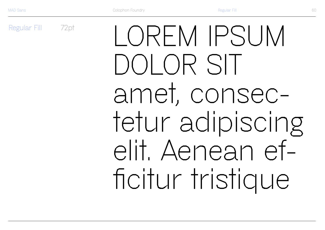Regular Fill

72pt

LOREM IPSUM DOLOR SIT amet, consectetur adipiscing elit. Aenean efficitur tristique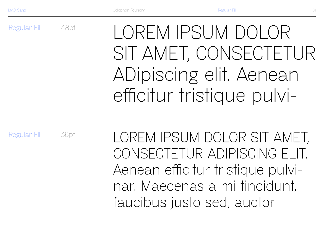Regular Fill 48pt

LOREM IPSUM DOLOR SIT AMET, CONSECTETUR ADipiscing elit. Aenean efficitur tristique pulvi-

Regular Fill 36pt

LOREM IPSUM DOLOR SIT AMET, CONSECTETUR ADIPISCING ELIT. Aenean efficitur tristique pulvinar. Maecenas a mi tincidunt, faucibus justo sed, auctor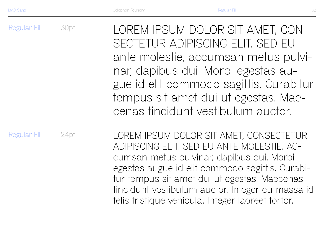Regular Fill Regular Fill 30pt 24pt LOREM IPSUM DOLOR SIT AMET, CON-SECTETUR ADIPISCING ELIT. SED EU ante molestie, accumsan metus pulvinar, dapibus dui. Morbi egestas augue id elit commodo sagittis. Curabitur tempus sit amet dui ut egestas. Maecenas tincidunt vestibulum auctor. LOREM IPSUM DOLOR SIT AMET, CONSECTETUR

ADIPISCING ELIT. SED EU ANTE MOLESTIE, ACcumsan metus pulvinar, dapibus dui. Morbi egestas augue id elit commodo sagittis. Curabitur tempus sit amet dui ut egestas. Maecenas tincidunt vestibulum auctor. Integer eu massa id felis tristique vehicula. Integer laoreet tortor.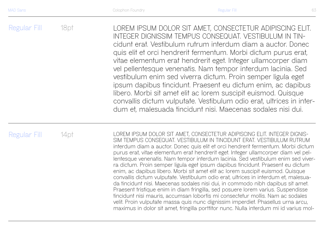Regular Fill 18pt LOREM IPSUM DOLOR SIT AMET, CONSECTETUR ADIPISCING ELIT. INTEGER DIGNISSIM TEMPUS CONSEQUAT. VESTIBULUM IN TINcidunt erat. Vestibulum rutrum interdum diam a auctor. Donec quis elit et orci hendrerit fermentum. Morbi dictum purus erat, vitae elementum erat hendrerit eget. Integer ullamcorper diam vel pellentesque venenatis. Nam tempor interdum lacinia. Sed vestibulum enim sed viverra dictum. Proin semper ligula eget ipsum dapibus tincidunt. Praesent eu dictum enim, ac dapibus libero. Morbi sit amet elit ac lorem suscipit euismod. Quisque convallis dictum vulputate. Vestibulum odio erat, ultrices in interdum et, malesuada tincidunt nisi. Maecenas sodales nisi dui.

Regular Fill

14pt LOREM IPSUM DOLOR SIT AMET, CONSECTETUR ADIPISCING ELIT. INTEGER DIGNIS-SIM TEMPUS CONSEQUAT. VESTIBULUM IN TINCIDUNT ERAT. VESTIBULUM RUTRUM interdum diam a auctor. Donec quis elit et orci hendrerit fermentum. Morbi dictum purus erat, vitae elementum erat hendrerit eget. Integer ullamcorper diam vel pellentesque venenatis. Nam tempor interdum lacinia. Sed vestibulum enim sed viverra dictum. Proin semper ligula eget ipsum dapibus tincidunt. Praesent eu dictum enim, ac dapibus libero. Morbi sit amet elit ac lorem suscipit euismod. Quisque convallis dictum vulputate. Vestibulum odio erat, ultrices in interdum et, malesuada tincidunt nisi. Maecenas sodales nisi dui, in commodo nibh dapibus sit amet. Praesent tristique enim in diam fringilla, sed posuere lorem varius. Suspendisse tincidunt nisi mauris, accumsan lobortis mi consectetur mollis. Nam ac sodales velit. Proin vulputate massa quis nunc dignissim imperdiet. Phasellus urna arcu, maximus in dolor sit amet, fringilla porttitor nunc. Nulla interdum mi id varius mol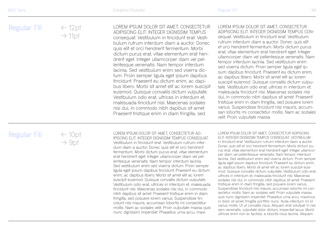LOREM IPSUM DOLOR SIT AMET, CONSECTETUR ADIPISCING ELIT. INTEGER DIGNISSIM TEMPUS consequat. Vestibulum in tincidunt erat. Vestibulum rutrum interdum diam a auctor. Donec quis elit et orci hendrerit fermentum. Morbi dictum purus erat, vitae elementum erat hendrerit eget. Integer ullamcorper diam vel pellentesque venenatis. Nam tempor interdum lacinia. Sed vestibulum enim sed viverra dictum. Proin semper ligula eget ipsum dapibus tincidunt. Praesent eu dictum enim, ac dapibus libero. Morbi sit amet elit ac lorem suscipit euismod. Quisque convallis dictum vulputate. Vestibulum odio erat, ultrices in interdum et, malesuada tincidunt nisi. Maecenas sodales nisi dui, in commodo nibh dapibus sit amet. Praesent tristique enim in diam fringilla, sed.

LOREM IPSUM DOLOR SIT AMET, CONSECTETUR ADIPISCING ELIT. INTEGER DIGNISSIM TEMPUS CONsequat. Vestibulum in tincidunt erat. Vestibulum rutrum interdum diam a auctor. Donec quis elit et orci hendrerit fermentum. Morbi dictum purus erat, vitae elementum erat hendrerit eget. Integer ullamcorper diam vel pellentesque venenatis. Nam tempor interdum lacinia. Sed vestibulum enim sed viverra dictum. Proin semper ligula eget ipsum dapibus tincidunt. Praesent eu dictum enim, ac dapibus libero. Morbi sit amet elit ac lorem suscipit euismod. Quisque convallis dictum vulputate. Vestibulum odio erat, ultrices in interdum et, malesuada tincidunt nisi. Maecenas sodales nisi dui, in commodo nibh dapibus sit amet. Praesent tristique enim in diam fringilla, sed posuere lorem varius. Suspendisse tincidunt nisi mauris, accumsan lobortis mi consectetur mollis. Nam ac sodales velit. Proin vulputate massa

### Regular Fill

 $\epsilon \in 10$ pt  $\rightarrow$  9pt

 $\rightarrow$  11pt

LOREM IPSUM DOLOR SIT AMET, CONSECTETUR AD-IPISCING ELIT. INTEGER DIGNISSIM TEMPUS CONSEQUAT. Vestibulum in tincidunt erat. Vestibulum rutrum interdum diam a auctor. Donec quis elit et orci hendrerit fermentum. Morbi dictum purus erat, vitae elementum erat hendrerit eget. Integer ullamcorper diam vel pellentesque venenatis. Nam tempor interdum lacinia. Sed vestibulum enim sed viverra dictum. Proin semper ligula eget ipsum dapibus tincidunt. Praesent eu dictum enim, ac dapibus libero. Morbi sit amet elit ac lorem suscipit euismod. Quisque convallis dictum vulputate. Vestibulum odio erat, ultrices in interdum et, malesuada tincidunt nisi. Maecenas sodales nisi dui, in commodo nibh dapibus sit amet. Praesent tristique enim in diam fringilla, sed posuere lorem varius. Suspendisse tincidunt nisi mauris, accumsan lobortis mi consectetur mollis. Nam ac sodales velit. Proin vulputate massa quis nunc dignissim imperdiet. Phasellus urna arcu, maxiLOREM IPSUM DOLOR SIT AMET, CONSECTETUR ADIPISCING ELIT. INTEGER DIGNISSIM TEMPUS CONSEQUAT. VESTIBULUM in tincidunt erat. Vestibulum rutrum interdum diam a auctor. Donec quis elit et orci hendrerit fermentum. Morbi dictum purus erat, vitae elementum erat hendrerit eget. Integer ullamcorper diam vel pellentesque venenatis. Nam tempor interdum lacinia. Sed vestibulum enim sed viverra dictum. Proin semper ligula eget ipsum dapibus tincidunt. Praesent eu dictum enim, ac dapibus libero. Morbi sit amet elit ac lorem suscipit euismod. Quisque convallis dictum vulputate. Vestibulum odio erat, ultrices in interdum et, malesuada tincidunt nisi. Maecenas sodales nisi dui, in commodo nibh dapibus sit amet. Praesent tristique enim in diam fringilla, sed posuere lorem varius. Suspendisse tincidunt nisi mauris, accumsan lobortis mi consectetur mollis. Nam ac sodales velit. Proin vulputate massa quis nunc dignissim imperdiet. Phasellus urna arcu, maximus in dolor sit amet, fringilla porttitor nunc. Nulla interdum mi id varius mollis. Ut ut convallis risus. Aliquam erat volutpat. In nec sem venenatis, vulputate dolor dictum, imperdiet lacus. Morbi ultrices enim non ex facilisis, a lobortis risus lacinia. Aliquam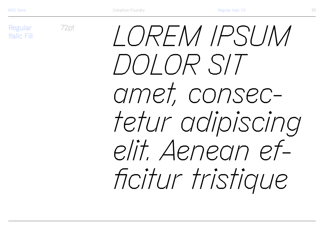Regular **Italic Fill**  72pt

LOREM IPSUM DOLOR SIT amet, consectetur adipiscing elit. Aenean efficitur tristique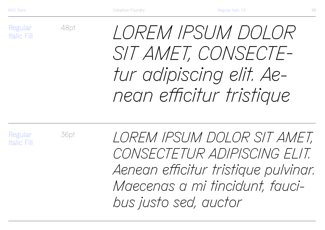Regular Italic Fill 48pt

*LOREM IPSUM DOLOR SIT AMET, CONSECTEtur adipiscing elit. Aenean efficitur tristique* 

Regular Italic Fill 36pt

*LOREM IPSUM DOLOR SIT AMET, CONSECTETUR ADIPISCING ELIT. Aenean efficitur tristique pulvinar. Maecenas a mi tincidunt, faucibus justo sed, auctor*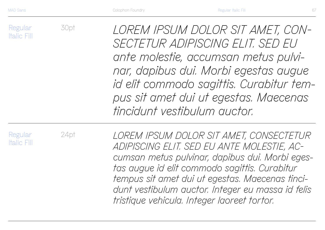Regular Italic Fill

30pt

*LOREM IPSUM DOLOR SIT AMET, CON-SECTETUR ADIPISCING ELIT. SED EU ante molestie, accumsan metus pulvinar, dapibus dui. Morbi egestas augue id elit commodo sagittis. Curabitur tempus sit amet dui ut egestas. Maecenas tincidunt vestibulum auctor.*

Regular Italic Fill 24pt

*LOREM IPSUM DOLOR SIT AMET, CONSECTETUR ADIPISCING ELIT. SED EU ANTE MOLESTIE, ACcumsan metus pulvinar, dapibus dui. Morbi egestas augue id elit commodo sagittis. Curabitur tempus sit amet dui ut egestas. Maecenas tincidunt vestibulum auctor. Integer eu massa id felis tristique vehicula. Integer laoreet tortor.*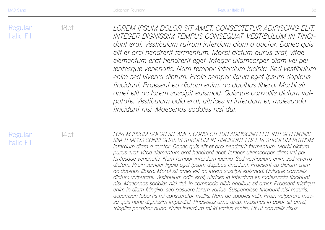Regular Italic Fill

18pt

*LOREM IPSUM DOLOR SIT AMET, CONSECTETUR ADIPISCING ELIT. INTEGER DIGNISSIM TEMPUS CONSEQUAT. VESTIBULUM IN TINCIdunt erat. Vestibulum rutrum interdum diam a auctor. Donec quis elit et orci hendrerit fermentum. Morbi dictum purus erat, vitae elementum erat hendrerit eget. Integer ullamcorper diam vel pellentesque venenatis. Nam tempor interdum lacinia. Sed vestibulum enim sed viverra dictum. Proin semper ligula eget ipsum dapibus tincidunt. Praesent eu dictum enim, ac dapibus libero. Morbi sit amet elit ac lorem suscipit euismod. Quisque convallis dictum vulputate. Vestibulum odio erat, ultrices in interdum et, malesuada tincidunt nisi. Maecenas sodales nisi dui.* 

Regular Italic Fill

14pt *LOREM IPSUM DOLOR SIT AMET, CONSECTETUR ADIPISCING ELIT. INTEGER DIGNIS-SIM TEMPUS CONSEQUAT. VESTIBULUM IN TINCIDUNT ERAT. VESTIBULUM RUTRUM interdum diam a auctor. Donec quis elit et orci hendrerit fermentum. Morbi dictum purus erat, vitae elementum erat hendrerit eget. Integer ullamcorper diam vel pellentesque venenatis. Nam tempor interdum lacinia. Sed vestibulum enim sed viverra dictum. Proin semper ligula eget ipsum dapibus tincidunt. Praesent eu dictum enim, ac dapibus libero. Morbi sit amet elit ac lorem suscipit euismod. Quisque convallis dictum vulputate. Vestibulum odio erat, ultrices in interdum et, malesuada tincidunt nisi. Maecenas sodales nisi dui, in commodo nibh dapibus sit amet. Praesent tristique enim in diam fringilla, sed posuere lorem varius. Suspendisse tincidunt nisi mauris, accumsan lobortis mi consectetur mollis. Nam ac sodales velit. Proin vulputate massa quis nunc dignissim imperdiet. Phasellus urna arcu, maximus in dolor sit amet, fringilla porttitor nunc. Nulla interdum mi id varius mollis. Ut ut convallis risus.*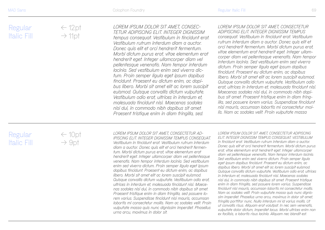$\leftarrow$  12pt  $\rightarrow$  11pt

*LOREM IPSUM DOLOR SIT AMET, CONSEC - TETUR ADIPISCING ELIT. INTEGER DIGNISSIM tempus consequat. Vestibulum in tincidunt erat.* 

*Vestibulum rutrum interdum diam a auctor. Donec quis elit et orci hendrerit fermentum. Morbi dictum purus erat, vitae elementum erat hendrerit eget. Integer ullamcorper diam vel pellentesque venenatis. Nam tempor interdum lacinia. Sed vestibulum enim sed viverra dic tum. Proin semper ligula eget ipsum dapibus tincidunt. Praesent eu dictum enim, ac dapibus libero. Morbi sit amet elit ac lorem suscipit euismod. Quisque convallis dictum vulputate. Vestibulum odio erat, ultrices in interdum et, malesuada tincidunt nisi. Maecenas sodales nisi dui, in commodo nibh dapibus sit amet. Praesent tristique enim in diam fringilla, sed.*

*LOREM IPSUM DOLOR SIT AMET, CONSECTETUR ADIPISCING ELIT. INTEGER DIGNISSIM TEMPUS consequat. Vestibulum in tincidunt erat. Vestibulum rutrum interdum diam a auctor. Donec quis elit et orci hendrerit fermentum. Morbi dictum purus erat, vitae elementum erat hendrerit eget. Integer ullam corper diam vel pellentesque venenatis. Nam tempor interdum lacinia. Sed vestibulum enim sed viverra dictum. Proin semper ligula eget ipsum dapibus tincidunt. Praesent eu dictum enim, ac dapibus libero. Morbi sit amet elit ac lorem suscipit euismod. Quisque convallis dictum vulputate. Vestibulum odio erat, ultrices in interdum et, malesuada tincidunt nisi. Maecenas sodales nisi dui, in commodo nibh dapibus sit amet. Praesent tristique enim in diam fring-*

*illa, sed posuere lorem varius. Suspendisse tincidunt nisi mauris, accumsan lobortis mi consectetur mollis. Nam ac sodales velit. Proin vulputate massa*

Regular Italic Fill  $\leftarrow$  10pt  $\rightarrow$  9pt

*LOREM IPSUM DOLOR SIT AMET, CONSECTETUR AD - IPISCING ELIT. INTEGER DIGNISSIM TEMPUS CONSEQUAT. Vestibulum in tincidunt erat. Vestibulum rutrum interdum diam a auctor. Donec quis elit et orci hendrerit fermen tum. Morbi dictum purus erat, vitae elementum erat hendrerit eget. Integer ullamcorper diam vel pellentesque venenatis. Nam tempor interdum lacinia. Sed vestibulum enim sed viverra dictum. Proin semper ligula eget ipsum dapibus tincidunt. Praesent eu dictum enim, ac dapibus libero. Morbi sit amet elit ac lorem suscipit euismod. Quisque convallis dictum vulputate. Vestibulum odio erat, ultrices in interdum et, malesuada tincidunt nisi. Maece nas sodales nisi dui, in commodo nibh dapibus sit amet. Praesent tristique enim in diam fringilla, sed posuere lo rem varius. Suspendisse tincidunt nisi mauris, accumsan lobortis mi consectetur mollis. Nam ac sodales velit. Proin vulputate massa quis nunc dignissim imperdiet. Phasellus urna arcu, maximus in dolor sit.*

*LOREM IPSUM DOLOR SIT AMET, CONSECTETUR ADIPISCING ELIT. INTEGER DIGNISSIM TEMPUS CONSEQUAT. VESTIBULUM in tincidunt erat. Vestibulum rutrum interdum diam a auctor. Donec quis elit et orci hendrerit fermentum. Morbi dictum purus erat, vitae elementum erat hendrerit eget. Integer ullamcorper diam vel pellentesque venenatis. Nam tempor interdum lacinia. Sed vestibulum enim sed viverra dictum. Proin semper ligula eget ipsum dapibus tincidunt. Praesent eu dictum enim, ac dapibus libero. Morbi sit amet elit ac lorem suscipit euismod. Quisque convallis dictum vulputate. Vestibulum odio erat, ultrices in interdum et, malesuada tincidunt nisi. Maecenas sodales nisi dui, in commodo nibh dapibus sit amet. Praesent tristique enim in diam fringilla, sed posuere lorem varius. Suspendisse tincidunt nisi mauris, accumsan lobortis mi consectetur mollis. Nam ac sodales velit. Proin vulputate massa quis nunc dignis sim imperdiet. Phasellus urna arcu, maximus in dolor sit amet, fringilla porttitor nunc. Nulla interdum mi id varius mollis. Ut ut convallis risus. Aliquam erat volutpat. In nec sem venenatis, vulputate dolor dictum, imperdiet lacus. Morbi ultrices enim non ex facilisis, a lobortis risus lacinia. Aliquam nec blandit est.*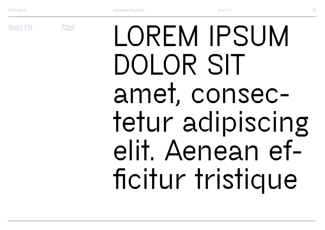**Bold Fill** 

72pt

LOREM IPSUM DOLOR SIT amet, consectetur adipiscing elit. Aenean efficitur tristique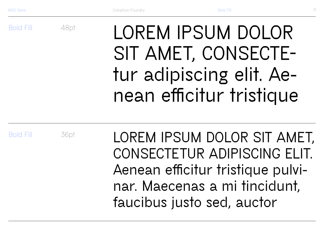Bold Fill

# **LOREM IPSUM DOLOR SIT AMET, CONSECTEtur adipiscing elit. Aenean efficitur tristique**

Bold Fill

36pt

48pt

**LOREM IPSUM DOLOR SIT AMET, CONSECTETUR ADIPISCING ELIT. Aenean efficitur tristique pulvinar. Maecenas a mi tincidunt, faucibus justo sed, auctor**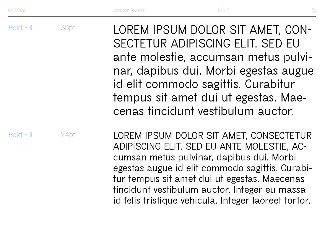Bold Fill

| 30pt | LOREM IPSUM DOLOR SIT AMET, CON-      |
|------|---------------------------------------|
|      | SECTETUR ADIPISCING ELIT. SED EU      |
|      | ante molestie, accumsan metus pulvi-  |
|      | nar, dapibus dui. Morbi egestas augue |
|      | id elit commodo sagittis. Curabitur   |
|      | tempus sit amet dui ut egestas. Mae-  |

**cenas tincidunt vestibulum auctor.**

Bold Fill

24pt

**LOREM IPSUM DOLOR SIT AMET, CONSECTETUR ADIPISCING ELIT. SED EU ANTE MOLESTIE, ACcumsan metus pulvinar, dapibus dui. Morbi egestas augue id elit commodo sagittis. Curabitur tempus sit amet dui ut egestas. Maecenas tincidunt vestibulum auctor. Integer eu massa id felis tristique vehicula. Integer laoreet tortor.**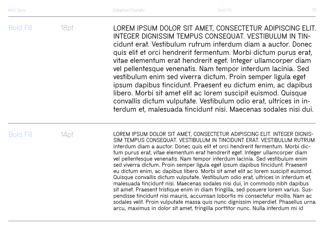Bold Fill 18pt **LOREM IPSUM DOLOR SIT AMET, CONSECTETUR ADIPISCING ELIT.**  INTEGER DIGNISSIM TEMPUS CONSEQUAT. VESTIBULUM IN TIN**cidunt erat. Vestibulum rutrum interdum diam a auctor. Donec quis elit et orci hendrerit fermentum. Morbi dictum purus erat, vitae elementum erat hendrerit eget. Integer ullamcorper diam vel pellentesque venenatis. Nam tempor interdum lacinia. Sed vestibulum enim sed viverra dictum. Proin semper ligula eget ipsum dapibus tincidunt. Praesent eu dictum enim, ac dapibus libero. Morbi sit amet elit ac lorem suscipit euismod. Quisque convallis dictum vulputate. Vestibulum odio erat, ultrices in interdum et, malesuada tincidunt nisi. Maecenas sodales nisi dui.** 

Bold Fill

14pt **LOREM IPSUM DOLOR SIT AMET, CONSECTETUR ADIPISCING ELIT. INTEGER DIGNIS-SIM TEMPUS CONSEQUAT. VESTIBULUM IN TINCIDUNT ERAT. VESTIBULUM RUTRUM interdum diam a auctor. Donec quis elit et orci hendrerit fermentum. Morbi dictum purus erat, vitae elementum erat hendrerit eget. Integer ullamcorper diam vel pellentesque venenatis. Nam tempor interdum lacinia. Sed vestibulum enim sed viverra dictum. Proin semper ligula eget ipsum dapibus tincidunt. Praesent eu dictum enim, ac dapibus libero. Morbi sit amet elit ac lorem suscipit euismod. Quisque convallis dictum vulputate. Vestibulum odio erat, ultrices in interdum et, malesuada tincidunt nisi. Maecenas sodales nisi dui, in commodo nibh dapibus sit amet. Praesent tristique enim in diam fringilla, sed posuere lorem varius. Suspendisse tincidunt nisi mauris, accumsan lobortis mi consectetur mollis. Nam ac sodales velit. Proin vulputate massa quis nunc dignissim imperdiet. Phasellus urna arcu, maximus in dolor sit amet, fringilla porttitor nunc. Nulla interdum mi id**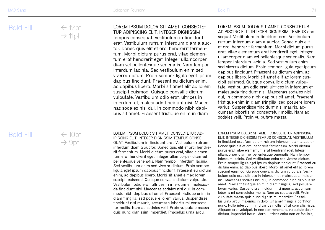## $\leftarrow$  12pt  $\rightarrow$  11pt

#### **LOREM IPSUM DOLOR SIT AMET, CONSECTE - TUR ADIPISCING ELIT. INTEGER DIGNISSIM**

**tempus consequat. Vestibulum in tincidunt erat. Vestibulum rutrum interdum diam a auc tor. Donec quis elit et orci hendrerit fermen tum. Morbi dictum purus erat, vitae elemen tum erat hendrerit eget. Integer ullamcorper diam vel pellentesque venenatis. Nam tempor interdum lacinia. Sed vestibulum enim sed viverra dictum. Proin semper ligula eget ipsum dapibus tincidunt. Praesent eu dictum enim, ac dapibus libero. Morbi sit amet elit ac lorem suscipit euismod. Quisque convallis dictum vulputate. Vestibulum odio erat, ultrices in interdum et, malesuada tincidunt nisi. Maece nas sodales nisi dui, in commodo nibh dapi bus sit amet. Praesent tristique enim in diam** 

#### **LOREM IPSUM DOLOR SIT AMET, CONSECTETUR ADIPISCING ELIT. INTEGER DIGNISSIM TEMPUS con sequat. Vestibulum in tincidunt erat. Vestibulum rutrum interdum diam a auctor. Donec quis elit et orci hendrerit fermentum. Morbi dictum purus erat, vitae elementum erat hendrerit eget. Integer ullamcorper diam vel pellentesque venenatis. Nam tempor interdum lacinia. Sed vestibulum enim sed viverra dictum. Proin semper ligula eget ipsum dapibus tincidunt. Praesent eu dictum enim, ac dapibus libero. Morbi sit amet elit ac lorem sus cipit euismod. Quisque convallis dictum vulpu tate. Vestibulum odio erat, ultrices in interdum et, malesuada tincidunt nisi. Maecenas sodales nisi dui, in commodo nibh dapibus sit amet. Praesent tristique enim in diam fringilla, sed posuere lorem varius. Suspendisse tincidunt nisi mauris, ac cumsan lobortis mi consectetur mollis. Nam ac sodales velit. Proin vulputate massa**

# Bold Fill

 $\leftarrow$  10pt  $\rightarrow$  9pt

**LOREM IPSUM DOLOR SIT AMET, CONSECTETUR AD - IPISCING ELIT. INTEGER DIGNISSIM TEMPUS CONSE - QUAT. Vestibulum in tincidunt erat. Vestibulum rutrum interdum diam a auctor. Donec quis elit et orci hendre rit fermentum. Morbi dictum purus erat, vitae elemen tum erat hendrerit eget. Integer ullamcorper diam vel pellentesque venenatis. Nam tempor interdum lacinia. Sed vestibulum enim sed viverra dictum. Proin semper ligula eget ipsum dapibus tincidunt. Praesent eu dictum enim, ac dapibus libero. Morbi sit amet elit ac lorem suscipit euismod. Quisque convallis dictum vulputate. Vestibulum odio erat, ultrices in interdum et, malesua da tincidunt nisi. Maecenas sodales nisi dui, in com modo nibh dapibus sit amet. Praesent tristique enim in diam fringilla, sed posuere lorem varius. Suspendisse tincidunt nisi mauris, accumsan lobortis mi consecte tur mollis. Nam ac sodales velit. Proin vulputate massa quis nunc dignissim imperdiet. Phasellus urna arcu,** 

**LOREM IPSUM DOLOR SIT AMET, CONSECTETUR ADIPISCING ELIT. INTEGER DIGNISSIM TEMPUS CONSEQUAT. VESTIBULUM in tincidunt erat. Vestibulum rutrum interdum diam a auctor. Donec quis elit et orci hendrerit fermentum. Morbi dictum purus erat, vitae elementum erat hendrerit eget. Integer ullamcorper diam vel pellentesque venenatis. Nam tempor interdum lacinia. Sed vestibulum enim sed viverra dictum. Proin semper ligula eget ipsum dapibus tincidunt. Praesent eu dictum enim, ac dapibus libero. Morbi sit amet elit ac lorem suscipit euismod. Quisque convallis dictum vulputate. Vesti bulum odio erat, ultrices in interdum et, malesuada tincidunt nisi. Maecenas sodales nisi dui, in commodo nibh dapibus sit amet. Praesent tristique enim in diam fringilla, sed posuere lorem varius. Suspendisse tincidunt nisi mauris, accumsan lobortis mi consectetur mollis. Nam ac sodales velit. Proin vulputate massa quis nunc dignissim imperdiet. Phasel lus urna arcu, maximus in dolor sit amet, fringilla porttitor nunc. Nulla interdum mi id varius mollis. Ut ut convallis risus. Aliquam erat volutpat. In nec sem venenatis, vulputate dolor dictum, imperdiet lacus. Morbi ultrices enim non ex facilisis,**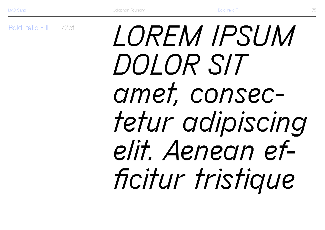**Bold Italic Fill** 72pt

# LOREM IPSUM DOLOR SIT amet, consectetur adipiscing elit. Aenean efficitur tristique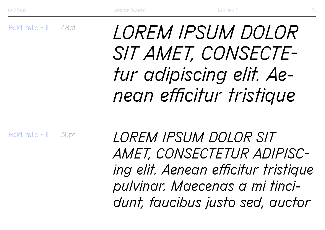Bold Italic Fill 48pt

# *LOREM IPSUM DOLOR SIT AMET, CONSECTEtur adipiscing elit. Aenean efficitur tristique*

Bold Italic Fill 36pt

*LOREM IPSUM DOLOR SIT AMET, CONSECTETUR ADIPISCing elit. Aenean efficitur tristique pulvinar. Maecenas a mi tincidunt, faucibus justo sed, auctor*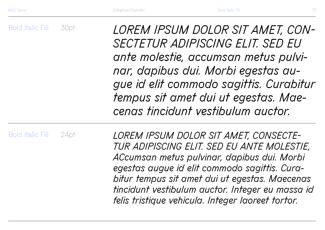Bold Italic Fill 30pt *LOREM IPSUM DOLOR SIT AMET, CON-SECTETUR ADIPISCING ELIT. SED EU ante molestie, accumsan metus pulvinar, dapibus dui. Morbi egestas augue id elit commodo sagittis. Curabitur tempus sit amet dui ut egestas. Maecenas tincidunt vestibulum auctor.*

Bold Italic Fill 24pt

*LOREM IPSUM DOLOR SIT AMET, CONSECTE-TUR ADIPISCING ELIT. SED EU ANTE MOLESTIE, ACcumsan metus pulvinar, dapibus dui. Morbi egestas augue id elit commodo sagittis. Curabitur tempus sit amet dui ut egestas. Maecenas tincidunt vestibulum auctor. Integer eu massa id felis tristique vehicula. Integer laoreet tortor.*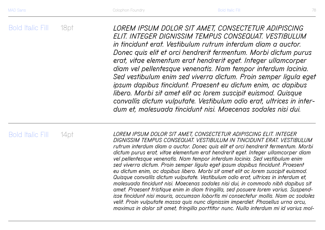Bold Italic Fill 18pt *LOREM IPSUM DOLOR SIT AMET, CONSECTETUR ADIPISCING ELIT. INTEGER DIGNISSIM TEMPUS CONSEQUAT. VESTIBULUM in tincidunt erat. Vestibulum rutrum interdum diam a auctor. Donec quis elit et orci hendrerit fermentum. Morbi dictum purus erat, vitae elementum erat hendrerit eget. Integer ullamcorper diam vel pellentesque venenatis. Nam tempor interdum lacinia. Sed vestibulum enim sed viverra dictum. Proin semper ligula eget ipsum dapibus tincidunt. Praesent eu dictum enim, ac dapibus libero. Morbi sit amet elit ac lorem suscipit euismod. Quisque convallis dictum vulputate. Vestibulum odio erat, ultrices in interdum et, malesuada tincidunt nisi. Maecenas sodales nisi dui.* 

## Bold Italic Fill

14pt *LOREM IPSUM DOLOR SIT AMET, CONSECTETUR ADIPISCING ELIT. INTEGER DIGNISSIM TEMPUS CONSEQUAT. VESTIBULUM IN TINCIDUNT ERAT. VESTIBULUM rutrum interdum diam a auctor. Donec quis elit et orci hendrerit fermentum. Morbi dictum purus erat, vitae elementum erat hendrerit eget. Integer ullamcorper diam vel pellentesque venenatis. Nam tempor interdum lacinia. Sed vestibulum enim sed viverra dictum. Proin semper ligula eget ipsum dapibus tincidunt. Praesent eu dictum enim, ac dapibus libero. Morbi sit amet elit ac lorem suscipit euismod. Quisque convallis dictum vulputate. Vestibulum odio erat, ultrices in interdum et, malesuada tincidunt nisi. Maecenas sodales nisi dui, in commodo nibh dapibus sit amet. Praesent tristique enim in diam fringilla, sed posuere lorem varius. Suspendisse tincidunt nisi mauris, accumsan lobortis mi consectetur mollis. Nam ac sodales velit. Proin vulputate massa quis nunc dignissim imperdiet. Phasellus urna arcu, maximus in dolor sit amet, fringilla porttitor nunc. Nulla interdum mi id varius mol-*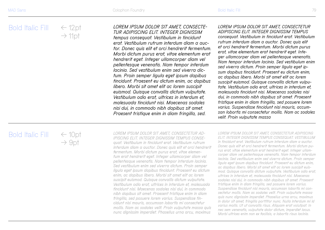### ← 12pt  $\rightarrow$  11pt

*LOREM IPSUM DOLOR SIT AMET, CONSECTE-TUR ADIPISCING ELIT. INTEGER DIGNISSIM* 

*tempus consequat. Vestibulum in tincidunt erat. Vestibulum rutrum interdum diam a auctor. Donec quis elit et orci hendrerit fermentum. Morbi dictum purus erat, vitae elementum erat hendrerit eget. Integer ullamcorper diam vel pellentesque venenatis. Nam tempor interdum lacinia. Sed vestibulum enim sed viverra dictum. Proin semper ligula eget ipsum dapibus tincidunt. Praesent eu dictum enim, ac dapibus libero. Morbi sit amet elit ac lorem suscipit euismod. Quisque convallis dictum vulputate. Vestibulum odio erat, ultrices in interdum et, malesuada tincidunt nisi. Maecenas sodales nisi dui, in commodo nibh dapibus sit amet. Praesent tristique enim in diam fringilla, sed.*

*LOREM IPSUM DOLOR SIT AMET, CONSECTETUR ADIPISCING ELIT. INTEGER DIGNISSIM TEMPUS consequat. Vestibulum in tincidunt erat. Vestibulum rutrum interdum diam a auctor. Donec quis elit et orci hendrerit fermentum. Morbi dictum purus erat, vitae elementum erat hendrerit eget. Integer ullamcorper diam vel pellentesque venenatis. Nam tempor interdum lacinia. Sed vestibulum enim sed viverra dictum. Proin semper ligula eget ipsum dapibus tincidunt. Praesent eu dictum enim, ac dapibus libero. Morbi sit amet elit ac lorem suscipit euismod. Quisque convallis dictum vulputate. Vestibulum odio erat, ultrices in interdum et, malesuada tincidunt nisi. Maecenas sodales nisi dui, in commodo nibh dapibus sit amet. Praesent tristique enim in diam fringilla, sed posuere lorem varius. Suspendisse tincidunt nisi mauris, accumsan lobortis mi consectetur mollis. Nam ac sodales velit. Proin vulputate massa*

# Bold Italic Fill

 $\epsilon$  10pt  $\rightarrow$  9pt

*LOREM IPSUM DOLOR SIT AMET, CONSECTETUR AD-IPISCING ELIT. INTEGER DIGNISSIM TEMPUS CONSEquat. Vestibulum in tincidunt erat. Vestibulum rutrum interdum diam a auctor. Donec quis elit et orci hendrerit fermentum. Morbi dictum purus erat, vitae elementum erat hendrerit eget. Integer ullamcorper diam vel pellentesque venenatis. Nam tempor interdum lacinia. Sed vestibulum enim sed viverra dictum. Proin semper ligula eget ipsum dapibus tincidunt. Praesent eu dictum enim, ac dapibus libero. Morbi sit amet elit ac lorem suscipit euismod. Quisque convallis dictum vulputate. Vestibulum odio erat, ultrices in interdum et, malesuada tincidunt nisi. Maecenas sodales nisi dui, in commodo nibh dapibus sit amet. Praesent tristique enim in diam fringilla, sed posuere lorem varius. Suspendisse tincidunt nisi mauris, accumsan lobortis mi consectetur mollis. Nam ac sodales velit. Proin vulputate massa quis nunc dignissim imperdiet. Phasellus urna arcu, maximus* 

*LOREM IPSUM DOLOR SIT AMET, CONSECTETUR ADIPISCING ELIT. INTEGER DIGNISSIM TEMPUS CONSEQUAT. VESTIBULUM in tincidunt erat. Vestibulum rutrum interdum diam a auctor. Donec quis elit et orci hendrerit fermentum. Morbi dictum purus erat, vitae elementum erat hendrerit eget. Integer ullamcorper diam vel pellentesque venenatis. Nam tempor interdum lacinia. Sed vestibulum enim sed viverra dictum. Proin semper ligula eget ipsum dapibus tincidunt. Praesent eu dictum enim, ac dapibus libero. Morbi sit amet elit ac lorem suscipit euismod. Quisque convallis dictum vulputate. Vestibulum odio erat, ultrices in interdum et, malesuada tincidunt nisi. Maecenas sodales nisi dui, in commodo nibh dapibus sit amet. Praesent tristique enim in diam fringilla, sed posuere lorem varius. Suspendisse tincidunt nisi mauris, accumsan lobortis mi consectetur mollis. Nam ac sodales velit. Proin vulputate massa quis nunc dignissim imperdiet. Phasellus urna arcu, maximus in dolor sit amet, fringilla porttitor nunc. Nulla interdum mi id varius mollis. Ut ut convallis risus. Aliquam erat volutpat. In nec sem venenatis, vulputate dolor dictum, imperdiet lacus. Morbi ultrices enim non ex facilisis, a lobortis risus lacinia.*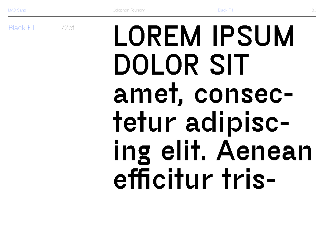**Black Fill** 

72pt

# LOREM IPSUM DOLOR SIT amet, consectetur adipiscing elit. Aenean efficitur tris-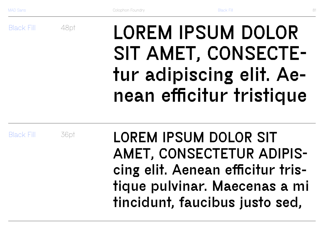Black Fill

# LOREM IPSUM DOLOR SIT AMET, CONSECTEtur adipiscing elit. Aenean efficitur tristique

Black Fill

36pt

48pt

LOREM IPSUM DOLOR SIT AMET, CONSECTETUR ADIPIScing elit. Aenean efficitur tristique pulvinar. Maecenas a mi tincidunt, faucibus justo sed,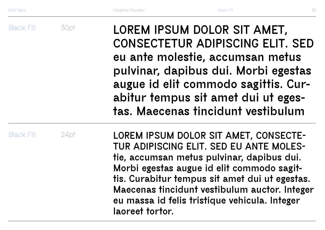Black Fill Black Fill 30pt 24pt LOREM IPSUM DOLOR SIT AMET, CONSECTETUR ADIPISCING ELIT. SED eu ante molestie, accumsan metus pulvinar, dapibus dui. Morbi egestas augue id elit commodo sagittis. Curabitur tempus sit amet dui ut egestas. Maecenas tincidunt vestibulum LOREM IPSUM DOLOR SIT AMET, CONSECTE-TUR ADIPISCING ELIT. SED EU ANTE MOLEStie, accumsan metus pulvinar, dapibus dui. Morbi egestas augue id elit commodo sagittis. Curabitur tempus sit amet dui ut egestas. Maecenas tincidunt vestibulum auctor. Integer

eu massa id felis tristique vehicula. Integer laoreet tortor.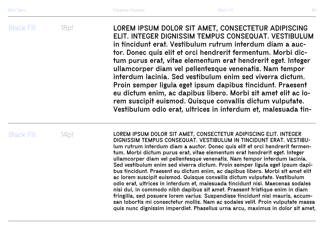Black Fill

18pt LOREM IPSUM DOLOR SIT AMET, CONSECTETUR ADIPISCING ELIT. INTEGER DIGNISSIM TEMPUS CONSEQUAT. VESTIBULUM in tincidunt erat. Vestibulum rutrum interdum diam a auctor. Donec quis elit et orci hendrerit fermentum. Morbi dictum purus erat, vitae elementum erat hendrerit eget. Integer ullamcorper diam vel pellentesque venenatis. Nam tempor interdum lacinia. Sed vestibulum enim sed viverra dictum. Proin semper ligula eget ipsum dapibus tincidunt. Praesent eu dictum enim, ac dapibus libero. Morbi sit amet elit ac lorem suscipit euismod. Quisque convallis dictum vulputate. Vestibulum odio erat, ultrices in interdum et, malesuada tin-

Black Fill

 $14$ pt **LOREM IPSUM DOLOR SIT AMET, CONSECTETUR ADIPISCING ELIT. INTEGER** DIGNISSIM TEMPUS CONSEQUAT. VESTIBULUM IN TINCIDUNT ERAT. VESTIBUlum rutrum interdum diam a auctor. Donec quis elit et orci hendrerit fermentum. Morbi dictum purus erat, vitae elementum erat hendrerit eget. Integer ullamcorper diam vel pellentesque venenatis. Nam tempor interdum lacinia. Sed vestibulum enim sed viverra dictum. Proin semper ligula eget ipsum dapibus tincidunt. Praesent eu dictum enim, ac dapibus libero. Morbi sit amet elit ac lorem suscipit euismod. Quisque convallis dictum vulputate. Vestibulum odio erat, ultrices in interdum et, malesuada tincidunt nisi. Maecenas sodales nisi dui, in commodo nibh dapibus sit amet. Praesent tristique enim in diam fringilla, sed posuere lorem varius. Suspendisse tincidunt nisi mauris, accumsan lobortis mi consectetur mollis. Nam ac sodales velit. Proin vulputate massa quis nunc dignissim imperdiet. Phasellus urna arcu, maximus in dolor sit amet,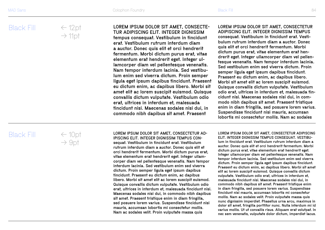← 12pt  $\rightarrow$  11pt

#### LOREM IPSUM DOLOR SIT AMET, CONSECTE - TUR ADIPISCING ELIT. INTEGER DIGNISSIM

tempus consequat. Vestibulum in tincidunt erat. Vestibulum rutrum interdum diam a auctor. Donec quis elit et orci hendrerit fermentum. Morbi dictum purus erat, vitae elementum erat hendrerit eget. Integer ul lamcorper diam vel pellentesque venenatis. Nam tempor interdum lacinia. Sed vestibu lum enim sed viverra dictum. Proin semper ligula eget ipsum dapibus tincidunt. Praesent eu dictum enim, ac dapibus libero. Morbi sit amet elit ac lorem suscipit euismod. Quisque convallis dictum vulputate. Vestibulum odio erat, ultrices in interdum et, malesuada tincidunt nisi. Maecenas sodales nisi dui, in commodo nibh dapibus sit amet. Praesent

LOREM IPSUM DOLOR SIT AMET, CONSECTETUR ADIPISCING ELIT. INTEGER DIGNISSIM TEMPUS consequat. Vestibulum in tincidunt erat. Vesti bulum rutrum interdum diam a auctor. Donec quis elit et orci hendrerit fermentum. Morbi

dictum purus erat, vitae elementum erat hen drerit eget. Integer ullamcorper diam vel pellen tesque venenatis. Nam tempor interdum lacinia. Sed vestibulum enim sed viverra dictum. Proin semper ligula eget ipsum dapibus tincidunt. Praesent eu dictum enim, ac dapibus libero. Morbi sit amet elit ac lorem suscipit euismod. Quisque convallis dictum vulputate. Vestibulum odio erat, ultrices in interdum et, malesuada tin cidunt nisi. Maecenas sodales nisi dui, in com modo nibh dapibus sit amet. Praesent tristique enim in diam fringilla, sed posuere lorem varius. Suspendisse tincidunt nisi mauris, accumsan lobortis mi consectetur mollis. Nam ac sodales

## Black Fill

 $\leftarrow 10$ pt  $\rightarrow$  9pt

LOREM IPSUM DOLOR SIT AMET, CONSECTETUR AD - IPISCING ELIT. INTEGER DIGNISSIM TEMPUS CONsequat. Vestibulum in tincidunt erat. Vestibulum rutrum interdum diam a auctor. Donec quis elit et orci hendrerit fermentum. Morbi dictum purus erat, vitae elementum erat hendrerit eget. Integer ullam corper diam vel pellentesque venenatis. Nam tempor interdum lacinia. Sed vestibulum enim sed viverra dictum. Proin semper ligula eget ipsum dapibus tincidunt. Praesent eu dictum enim, ac dapibus libero. Morbi sit amet elit ac lorem suscipit euismod. Quisque convallis dictum vulputate. Vestibulum odio erat, ultrices in interdum et, malesuada tincidunt nisi. Maecenas sodales nisi dui, in commodo nibh dapibus sit amet. Praesent tristique enim in diam fringilla, sed posuere lorem varius. Suspendisse tincidunt nisi mauris, accumsan lobortis mi consectetur mollis. Nam ac sodales velit. Proin vulputate massa quis

LOREM IPSUM DOLOR SIT AMET, CONSECTETUR ADIPISCING ELIT. INTEGER DIGNISSIM TEMPUS CONSEQUAT. VESTIBU lum in tincidunt erat. Vestibulum rutrum interdum diam a auctor. Donec quis elit et orci hendrerit fermentum. Morbi dictum purus erat, vitae elementum erat hendrerit eget. Integer ullamcorper diam vel pellentesque venenatis. Nam tempor interdum lacinia. Sed vestibulum enim sed viverra dictum. Proin semper ligula eget ipsum dapibus tincidunt. Praesent eu dictum enim, ac dapibus libero. Morbi sit amet elit ac lorem suscipit euismod. Quisque convallis dictum vulputate. Vestibulum odio erat, ultrices in interdum et, malesuada tincidunt nisi. Maecenas sodales nisi dui, in commodo nibh dapibus sit amet. Praesent tristique enim in diam fringilla, sed posuere lorem varius. Suspendisse tincidunt nisi mauris, accumsan lobortis mi consectetur mollis. Nam ac sodales velit. Proin vulputate massa quis nunc dignissim imperdiet. Phasellus urna arcu, maximus in dolor sit amet, fringilla porttitor nunc. Nulla interdum mi id varius mollis. Ut ut convallis risus. Aliquam erat volutpat. In nec sem venenatis, vulputate dolor dictum, imperdiet lacus.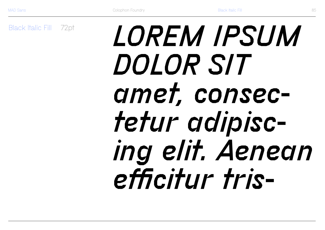**Black Italic Fill 72pt** 

# *LOREM IPSUM* **DOLOR SIT** amet, consectetur adipiscing elit. Aenean efficitur tris-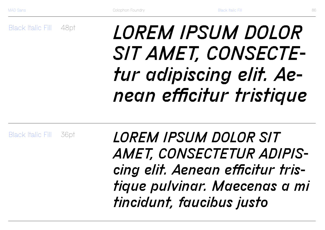Black Italic Fill 48pt

# *LOREM IPSUM DOLOR SIT AMET, CONSECTEtur adipiscing elit. Aenean efficitur tristique*

Black Italic Fill 36pt

*LOREM IPSUM DOLOR SIT AMET, CONSECTETUR ADIPIScing elit. Aenean efficitur tristique pulvinar. Maecenas a mi tincidunt, faucibus justo*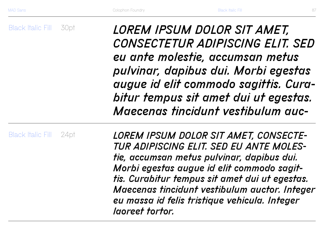Black Italic Fill 30pt *LOREM IPSUM DOLOR SIT AMET, CONSECTETUR ADIPISCING ELIT. SED eu ante molestie, accumsan metus pulvinar, dapibus dui. Morbi egestas augue id elit commodo sagittis. Curabitur tempus sit amet dui ut egestas. Maecenas tincidunt vestibulum auc-*

Black Italic Fill 24pt *LOREM IPSUM DOLOR SIT AMET, CONSECTE-TUR ADIPISCING ELIT. SED EU ANTE MOLEStie, accumsan metus pulvinar, dapibus dui. Morbi egestas augue id elit commodo sagittis. Curabitur tempus sit amet dui ut egestas. Maecenas tincidunt vestibulum auctor. Integer eu massa id felis tristique vehicula. Integer laoreet tortor.*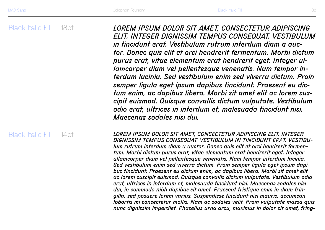Black Italic Fill 18pt *LOREM IPSUM DOLOR SIT AMET, CONSECTETUR ADIPISCING ELIT. INTEGER DIGNISSIM TEMPUS CONSEQUAT. VESTIBULUM in tincidunt erat. Vestibulum rutrum interdum diam a auctor. Donec quis elit et orci hendrerit fermentum. Morbi dictum purus erat, vitae elementum erat hendrerit eget. Integer ullamcorper diam vel pellentesque venenatis. Nam tempor interdum lacinia. Sed vestibulum enim sed viverra dictum. Proin semper ligula eget ipsum dapibus tincidunt. Praesent eu dictum enim, ac dapibus libero. Morbi sit amet elit ac lorem suscipit euismod. Quisque convallis dictum vulputate. Vestibulum odio erat, ultrices in interdum et, malesuada tincidunt nisi. Maecenas sodales nisi dui.* 

## Black Italic Fill

14pt *LOREM IPSUM DOLOR SIT AMET, CONSECTETUR ADIPISCING ELIT. INTEGER DIGNISSIM TEMPUS CONSEQUAT. VESTIBULUM IN TINCIDUNT ERAT. VESTIBUlum rutrum interdum diam a auctor. Donec quis elit et orci hendrerit fermentum. Morbi dictum purus erat, vitae elementum erat hendrerit eget. Integer ullamcorper diam vel pellentesque venenatis. Nam tempor interdum lacinia. Sed vestibulum enim sed viverra dictum. Proin semper ligula eget ipsum dapibus tincidunt. Praesent eu dictum enim, ac dapibus libero. Morbi sit amet elit ac lorem suscipit euismod. Quisque convallis dictum vulputate. Vestibulum odio erat, ultrices in interdum et, malesuada tincidunt nisi. Maecenas sodales nisi dui, in commodo nibh dapibus sit amet. Praesent tristique enim in diam fringilla, sed posuere lorem varius. Suspendisse tincidunt nisi mauris, accumsan lobortis mi consectetur mollis. Nam ac sodales velit. Proin vulputate massa quis nunc dignissim imperdiet. Phasellus urna arcu, maximus in dolor sit amet, fring-*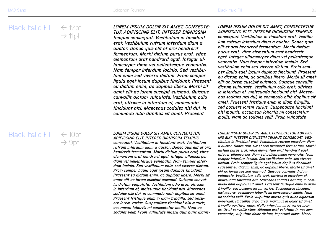#### *LOREM IPSUM DOLOR SIT AMET, CONSECTE-TUR ADIPISCING ELIT. INTEGER DIGNISSIM*

*tempus consequat. Vestibulum in tincidunt erat. Vestibulum rutrum interdum diam a auctor. Donec quis elit et orci hendrerit fermentum. Morbi dictum purus erat, vitae elementum erat hendrerit eget. Integer ullamcorper diam vel pellentesque venenatis. Nam tempor interdum lacinia. Sed vestibulum enim sed viverra dictum. Proin semper ligula eget ipsum dapibus tincidunt. Praesent eu dictum enim, ac dapibus libero. Morbi sit amet elit ac lorem suscipit euismod. Quisque convallis dictum vulputate. Vestibulum odio erat, ultrices in interdum et, malesuada tincidunt nisi. Maecenas sodales nisi dui, in commodo nibh dapibus sit amet. Praesent* 

#### *LOREM IPSUM DOLOR SIT AMET, CONSECTETUR ADIPISCING ELIT. INTEGER DIGNISSIM TEMPUS consequat. Vestibulum in tincidunt erat. Vestibulum rutrum interdum diam a auctor. Donec quis elit et orci hendrerit fermentum. Morbi dictum purus erat, vitae elementum erat hendrerit eget. Integer ullamcorper diam vel pellentesque*

*venenatis. Nam tempor interdum lacinia. Sed vestibulum enim sed viverra dictum. Proin semper ligula eget ipsum dapibus tincidunt. Praesent eu dictum enim, ac dapibus libero. Morbi sit amet elit ac lorem suscipit euismod. Quisque convallis dictum vulputate. Vestibulum odio erat, ultrices in interdum et, malesuada tincidunt nisi. Maecenas sodales nisi dui, in commodo nibh dapibus sit amet. Praesent tristique enim in diam fringilla, sed posuere lorem varius. Suspendisse tincidunt nisi mauris, accumsan lobortis mi consectetur mollis. Nam ac sodales velit. Proin vulputate* 

# Black Italic Fill ← 10pt

 $\rightarrow$  9pt

*LOREM IPSUM DOLOR SIT AMET, CONSECTETUR ADIPISCING ELIT. INTEGER DIGNISSIM TEMPUS consequat. Vestibulum in tincidunt erat. Vestibulum rutrum interdum diam a auctor. Donec quis elit et orci hendrerit fermentum. Morbi dictum purus erat, vitae elementum erat hendrerit eget. Integer ullamcorper diam vel pellentesque venenatis. Nam tempor interdum lacinia. Sed vestibulum enim sed viverra dictum. Proin semper ligula eget ipsum dapibus tincidunt. Praesent eu dictum enim, ac dapibus libero. Morbi sit amet elit ac lorem suscipit euismod. Quisque convallis dictum vulputate. Vestibulum odio erat, ultrices in interdum et, malesuada tincidunt nisi. Maecenas sodales nisi dui, in commodo nibh dapibus sit amet. Praesent tristique enim in diam fringilla, sed posuere lorem varius. Suspendisse tincidunt nisi mauris, accumsan lobortis mi consectetur mollis. Nam ac sodales velit. Proin vulputate massa quis nunc dignis-* *LOREM IPSUM DOLOR SIT AMET, CONSECTETUR ADIPISC-ING ELIT. INTEGER DIGNISSIM TEMPUS CONSEQUAT. VEStibulum in tincidunt erat. Vestibulum rutrum interdum diam a auctor. Donec quis elit et orci hendrerit fermentum. Morbi dictum purus erat, vitae elementum erat hendrerit eget. Integer ullamcorper diam vel pellentesque venenatis. Nam tempor interdum lacinia. Sed vestibulum enim sed viverra dictum. Proin semper ligula eget ipsum dapibus tincidunt. Praesent eu dictum enim, ac dapibus libero. Morbi sit amet elit ac lorem suscipit euismod. Quisque convallis dictum vulputate. Vestibulum odio erat, ultrices in interdum et, malesuada tincidunt nisi. Maecenas sodales nisi dui, in commodo nibh dapibus sit amet. Praesent tristique enim in diam fringilla, sed posuere lorem varius. Suspendisse tincidunt nisi mauris, accumsan lobortis mi consectetur mollis. Nam ac sodales velit. Proin vulputate massa quis nunc dignissim imperdiet. Phasellus urna arcu, maximus in dolor sit amet, fringilla porttitor nunc. Nulla interdum mi id varius mollis. Ut ut convallis risus. Aliquam erat volutpat. In nec sem venenatis, vulputate dolor dictum, imperdiet lacus. Morbi*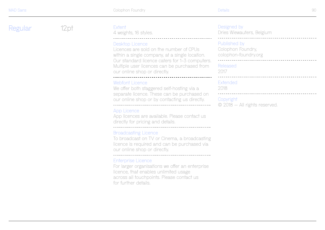Regular 12pt



#### **Extent**

4 weights, 16 styles.

#### -Desktop Licence

Licences are sold on the number of CPUs within a single company, at a single location. Our standard licence caters for 1–3 computers. Multiple user licences can be purchased from our online shop or directly.

#### Webfont Licence

We offer both staggered self-hosting via a separate licence. These can be purchased on our online shop or by contacting us directly. 

#### App Licence

App licences are available. Please contact us directly for pricing and details. 

#### Broadcasting Licence

To broadcast on TV or Cinema, a broadcasting licence is required and can be purchased via our online shop or directly.

#### -Enterprise Licence

For larger organisations we offer an enterprise licence, that enables unlimited usage across all touchpoints. Please contact us for further details.

#### Designed by

Dries Wiewauters, Belgium

\_\_\_\_\_\_\_\_\_\_\_\_\_\_\_\_\_\_\_\_\_\_\_\_\_\_\_\_\_\_\_\_\_\_\_\_\_

#### $\overline{\phantom{a}}$ Published by

Colophon Foundry, colophon-foundry.org

#### Released

2017

 $\overline{\phantom{a}}$ 

#### **Extended**

2018

#### Copyright

© 2018 — All rights reserved.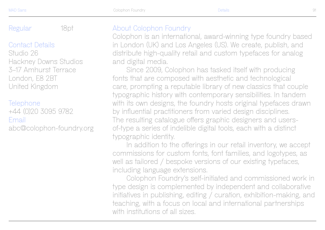## Contact Details

Studio 26 Hackney Downs Studios 3–17 Amhurst Terrace London, E8 2BT United Kingdom

### Telephone

+44 (0)20 3095 9782 Email abc@colophon-foundry.org

# Regular 18pt About Colophon Foundry

Colophon is an international, award-winning type foundry based in London (UK) and Los Angeles (US). We create, publish, and distribute high-quality retail and custom typefaces for analog and digital media.

Since 2009, Colophon has tasked itself with producing fonts that are composed with aesthetic and technological care, prompting a reputable library of new classics that couple typographic history with contemporary sensibilities. In tandem with its own designs, the foundry hosts original typefaces drawn by influential practitioners from varied design disciplines. The resulting catalogue offers graphic designers and usersof-type a series of indelible digital tools, each with a distinct typographic identity.

In addition to the offerings in our retail inventory, we accept commissions for custom fonts, font families, and logotypes, as well as tailored / bespoke versions of our existing typefaces, including language extensions.

Colophon Foundry's self-initiated and commissioned work in type design is complemented by independent and collaborative initiatives in publishing, editing / curation, exhibition-making, and teaching, with a focus on local and international partnerships with institutions of all sizes.